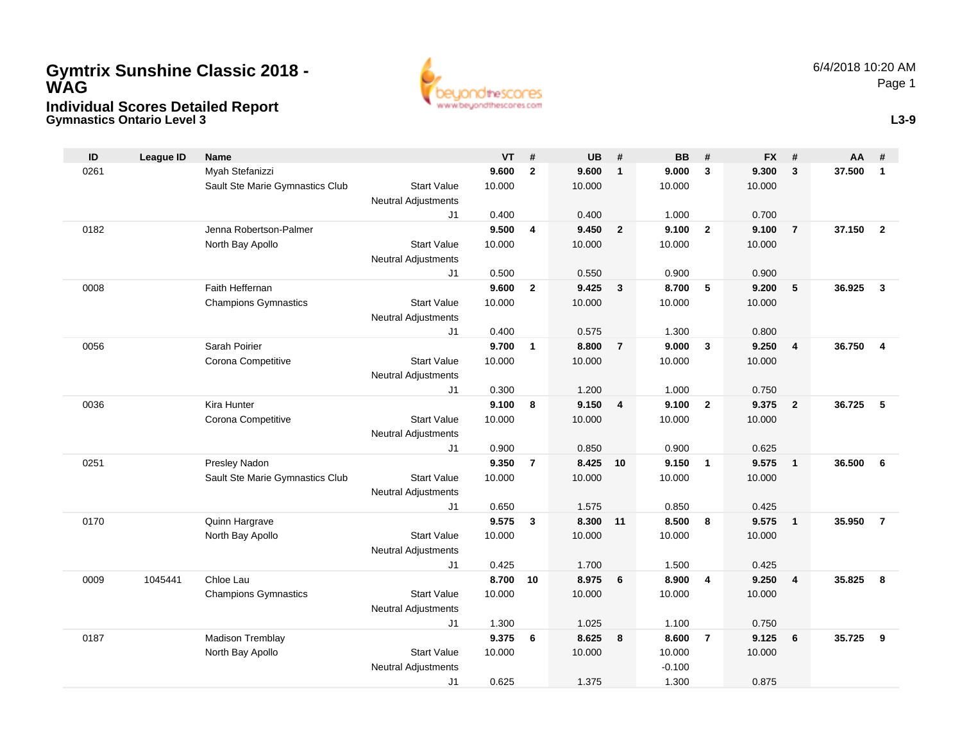## **Gymnastics Ontario Level 3 Individual Scores Detailed Report Gymtrix Sunshine Classic 2018 - WAG**



**L3-9**

| ID   | <b>League ID</b> | <b>Name</b>                     |                                              | <b>VT</b> | #              | <b>UB</b> | #              | <b>BB</b> | #              | <b>FX</b> | #                        | AA     | #                       |
|------|------------------|---------------------------------|----------------------------------------------|-----------|----------------|-----------|----------------|-----------|----------------|-----------|--------------------------|--------|-------------------------|
| 0261 |                  | Myah Stefanizzi                 |                                              | 9.600     | $\overline{2}$ | 9.600     | $\mathbf{1}$   | 9.000     | 3              | 9.300     | $\overline{\mathbf{3}}$  | 37.500 | $\overline{1}$          |
|      |                  | Sault Ste Marie Gymnastics Club | <b>Start Value</b>                           | 10.000    |                | 10.000    |                | 10.000    |                | 10.000    |                          |        |                         |
|      |                  |                                 | <b>Neutral Adjustments</b>                   |           |                |           |                |           |                |           |                          |        |                         |
|      |                  |                                 | J <sub>1</sub>                               | 0.400     |                | 0.400     |                | 1.000     |                | 0.700     |                          |        |                         |
| 0182 |                  | Jenna Robertson-Palmer          |                                              | 9.500     | $\overline{4}$ | 9.450     | $\overline{2}$ | 9.100     | $\overline{2}$ | 9.100     | $\overline{7}$           | 37.150 | $\overline{2}$          |
|      |                  | North Bay Apollo                | <b>Start Value</b>                           | 10.000    |                | 10.000    |                | 10.000    |                | 10.000    |                          |        |                         |
|      |                  |                                 | <b>Neutral Adjustments</b>                   |           |                |           |                |           |                |           |                          |        |                         |
|      |                  |                                 | J <sub>1</sub>                               | 0.500     |                | 0.550     |                | 0.900     |                | 0.900     |                          |        |                         |
| 0008 |                  | Faith Heffernan                 |                                              | 9.600     | $\overline{2}$ | 9.425     | $\mathbf{3}$   | 8.700     | 5              | 9.200     | $\overline{\phantom{0}}$ | 36.925 | $\overline{\mathbf{3}}$ |
|      |                  | <b>Champions Gymnastics</b>     | <b>Start Value</b>                           | 10.000    |                | 10.000    |                | 10.000    |                | 10.000    |                          |        |                         |
|      |                  |                                 | <b>Neutral Adjustments</b>                   |           |                |           |                |           |                |           |                          |        |                         |
|      |                  |                                 | J1                                           | 0.400     |                | 0.575     |                | 1.300     |                | 0.800     |                          |        |                         |
| 0056 |                  | Sarah Poirier                   |                                              | 9.700     | $\mathbf{1}$   | 8.800     | $\overline{7}$ | 9.000     | 3              | 9.250     | $\overline{4}$           | 36.750 | $\overline{4}$          |
|      |                  | Corona Competitive              | <b>Start Value</b>                           | 10.000    |                | 10.000    |                | 10.000    |                | 10.000    |                          |        |                         |
|      |                  |                                 | <b>Neutral Adjustments</b><br>J <sub>1</sub> | 0.300     |                | 1.200     |                | 1.000     |                | 0.750     |                          |        |                         |
| 0036 |                  | Kira Hunter                     |                                              | 9.100     | 8              | 9.150     | $\overline{4}$ | 9.100     | $\overline{2}$ | 9.375     | $\overline{\mathbf{2}}$  | 36.725 | -5                      |
|      |                  | Corona Competitive              | <b>Start Value</b>                           | 10.000    |                | 10.000    |                | 10.000    |                | 10.000    |                          |        |                         |
|      |                  |                                 | <b>Neutral Adjustments</b>                   |           |                |           |                |           |                |           |                          |        |                         |
|      |                  |                                 | J <sub>1</sub>                               | 0.900     |                | 0.850     |                | 0.900     |                | 0.625     |                          |        |                         |
| 0251 |                  | Presley Nadon                   |                                              | 9.350     | $\overline{7}$ | 8.425     | 10             | 9.150     | $\mathbf{1}$   | 9.575     | $\overline{1}$           | 36.500 | 6                       |
|      |                  | Sault Ste Marie Gymnastics Club | <b>Start Value</b>                           | 10.000    |                | 10.000    |                | 10.000    |                | 10.000    |                          |        |                         |
|      |                  |                                 | <b>Neutral Adjustments</b>                   |           |                |           |                |           |                |           |                          |        |                         |
|      |                  |                                 | J1                                           | 0.650     |                | 1.575     |                | 0.850     |                | 0.425     |                          |        |                         |
| 0170 |                  | Quinn Hargrave                  |                                              | 9.575     | 3              | 8.300     | 11             | 8.500     | 8              | 9.575     | $\overline{\mathbf{1}}$  | 35.950 | $\overline{7}$          |
|      |                  | North Bay Apollo                | <b>Start Value</b>                           | 10.000    |                | 10.000    |                | 10.000    |                | 10.000    |                          |        |                         |
|      |                  |                                 | <b>Neutral Adjustments</b>                   |           |                |           |                |           |                |           |                          |        |                         |
|      |                  |                                 | J <sub>1</sub>                               | 0.425     |                | 1.700     |                | 1.500     |                | 0.425     |                          |        |                         |
| 0009 | 1045441          | Chloe Lau                       |                                              | 8.700     | 10             | 8.975     | 6              | 8.900     | 4              | 9.250     | $\overline{4}$           | 35.825 | 8                       |
|      |                  | <b>Champions Gymnastics</b>     | <b>Start Value</b>                           | 10.000    |                | 10.000    |                | 10.000    |                | 10.000    |                          |        |                         |
|      |                  |                                 | <b>Neutral Adjustments</b>                   |           |                |           |                |           |                |           |                          |        |                         |
|      |                  |                                 | J <sub>1</sub>                               | 1.300     |                | 1.025     |                | 1.100     |                | 0.750     |                          |        |                         |
| 0187 |                  | Madison Tremblay                |                                              | 9.375     | 6              | 8.625     | 8              | 8.600     | $\overline{7}$ | 9.125     | 6                        | 35.725 | 9                       |
|      |                  | North Bay Apollo                | <b>Start Value</b>                           | 10.000    |                | 10.000    |                | 10.000    |                | 10.000    |                          |        |                         |
|      |                  |                                 | <b>Neutral Adjustments</b>                   |           |                |           |                | $-0.100$  |                |           |                          |        |                         |
|      |                  |                                 | J1                                           | 0.625     |                | 1.375     |                | 1.300     |                | 0.875     |                          |        |                         |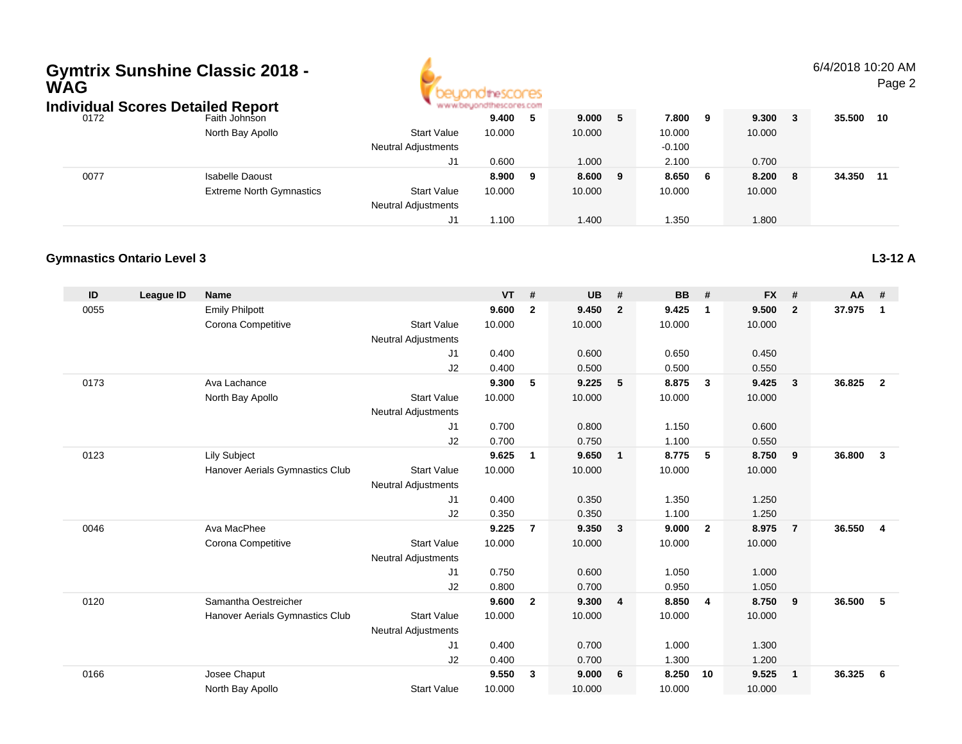| <b>WAG</b> | <b>Individual Scores Detailed Report</b> | <b>Gymtrix Sunshine Classic 2018 -</b> |                                                  |         |                |           |                |           |                |           |                | 6/4/2018 10:20 AM | Page 2         |
|------------|------------------------------------------|----------------------------------------|--------------------------------------------------|---------|----------------|-----------|----------------|-----------|----------------|-----------|----------------|-------------------|----------------|
| 0172       |                                          | Faith Johnson                          |                                                  | 9.400   | 5              | 9.000     | 5              | 7.800     | 9              | 9.300     | $\mathbf{3}$   | 35.500            | 10             |
|            |                                          | North Bay Apollo                       | <b>Start Value</b>                               | 10.000  |                | 10.000    |                | 10.000    |                | 10.000    |                |                   |                |
|            |                                          |                                        | <b>Neutral Adjustments</b>                       |         |                |           |                | $-0.100$  |                |           |                |                   |                |
|            |                                          |                                        | J1                                               | 0.600   |                | 1.000     |                | 2.100     |                | 0.700     |                |                   |                |
| 0077       |                                          | <b>Isabelle Daoust</b>                 |                                                  | 8.900   | 9              | 8.600     | 9              | 8.650     | 6              | 8.200     | 8              | 34.350            | 11             |
|            |                                          | <b>Extreme North Gymnastics</b>        | <b>Start Value</b>                               | 10.000  |                | 10.000    |                | 10.000    |                | 10.000    |                |                   |                |
|            |                                          |                                        | <b>Neutral Adjustments</b>                       |         |                |           |                |           |                |           |                |                   |                |
|            |                                          |                                        | J1                                               | 1.100   |                | 1.400     |                | 1.350     |                | 1.800     |                |                   |                |
|            | <b>Gymnastics Ontario Level 3</b>        |                                        |                                                  |         |                |           |                |           |                |           |                |                   | L3-12 A        |
| ID         | <b>League ID</b>                         | <b>Name</b>                            |                                                  | VT      | #              | <b>UB</b> | #              | <b>BB</b> | #              | <b>FX</b> | #              | AA                | #              |
| 0055       |                                          | <b>Emily Philpott</b>                  |                                                  | 9.600   | $\overline{2}$ | 9.450     | $\overline{2}$ | 9.425     | $\mathbf{1}$   | 9.500     | $\overline{2}$ | 37.975            | $\blacksquare$ |
|            |                                          | Corona Competitive                     | <b>Start Value</b>                               | 10.000  |                | 10.000    |                | 10.000    |                | 10.000    |                |                   |                |
|            |                                          |                                        | <b>Neutral Adjustments</b>                       |         |                |           |                |           |                |           |                |                   |                |
|            |                                          |                                        | J1                                               | 0.400   |                | 0.600     |                | 0.650     |                | 0.450     |                |                   |                |
|            |                                          |                                        | J2                                               | 0.400   |                | 0.500     |                | 0.500     |                | 0.550     |                |                   |                |
| 0173       |                                          | Ava Lachance                           |                                                  | 9.300   | 5              | 9.225     | 5              | 8.875     | $\mathbf{3}$   | 9.425     | $\mathbf{3}$   | 36.825            | $\overline{2}$ |
|            |                                          | North Bay Apollo                       | <b>Start Value</b>                               | 10.000  |                | 10.000    |                | 10.000    |                | 10.000    |                |                   |                |
|            |                                          |                                        | <b>Neutral Adjustments</b>                       |         |                |           |                |           |                |           |                |                   |                |
|            |                                          |                                        | J1                                               | 0.700   |                | 0.800     |                | 1.150     |                | 0.600     |                |                   |                |
|            |                                          |                                        | J <sub>2</sub>                                   | 0.700   |                | 0.750     |                | 1.100     |                | 0.550     |                |                   |                |
| 0123       |                                          | <b>Lily Subject</b>                    |                                                  | 9.625   | $\overline{1}$ | 9.650     | $\mathbf{1}$   | 8.775     | 5              | 8.750     | 9              | 36.800            | $\mathbf{3}$   |
|            |                                          | Hanover Aerials Gymnastics Club        | <b>Start Value</b><br><b>Neutral Adjustments</b> | 10.000  |                | 10.000    |                | 10.000    |                | 10.000    |                |                   |                |
|            |                                          |                                        | J1                                               | 0.400   |                | 0.350     |                | 1.350     |                | 1.250     |                |                   |                |
|            |                                          |                                        | J <sub>2</sub>                                   | 0.350   |                | 0.350     |                | 1.100     |                | 1.250     |                |                   |                |
| 0046       |                                          | Ava MacPhee                            |                                                  | 9.225   | $\overline{7}$ | 9.350     | $\mathbf{3}$   | 9.000     | $\overline{2}$ | 8.975     | $\overline{7}$ | 36.550            | 4              |
|            |                                          | Corona Competitive                     | <b>Start Value</b><br><b>Neutral Adjustments</b> | 10.000  |                | 10.000    |                | 10.000    |                | 10.000    |                |                   |                |
|            |                                          |                                        | J <sub>1</sub>                                   | 0.750   |                | 0.600     |                | 1.050     |                | 1.000     |                |                   |                |
|            |                                          |                                        | J2                                               | 0.800   |                | 0.700     |                | 0.950     |                | 1.050     |                |                   |                |
|            | 0120                                     | Samantha Oestreicher                   |                                                  | 9.600 2 |                | 9.300 4   |                | 8.850     |                | 8.750     | 9              | 36.500 5          |                |
|            |                                          | Hanover Aerials Gymnastics Club        | <b>Start Value</b>                               | 10.000  |                | 10.000    |                | 10.000    |                | 10.000    |                |                   |                |
|            |                                          |                                        | <b>Neutral Adjustments</b>                       |         |                |           |                |           |                |           |                |                   |                |
|            |                                          |                                        | J1                                               | 0.400   |                | 0.700     |                | 1.000     |                | 1.300     |                |                   |                |
|            |                                          |                                        | $\sf J2$                                         | 0.400   |                | 0.700     |                | 1.300     |                | 1.200     |                |                   |                |
| 0166       |                                          | Josee Chaput                           |                                                  | 9.550 3 |                | 9.000     | 6              | 8.250 10  |                | 9.525     | $\overline{1}$ | 36.325 6          |                |
|            |                                          | North Bay Apollo                       | <b>Start Value</b>                               | 10.000  |                | 10.000    |                | 10.000    |                | 10.000    |                |                   |                |

# **Gymtrix Sunshine Classic 2018 -**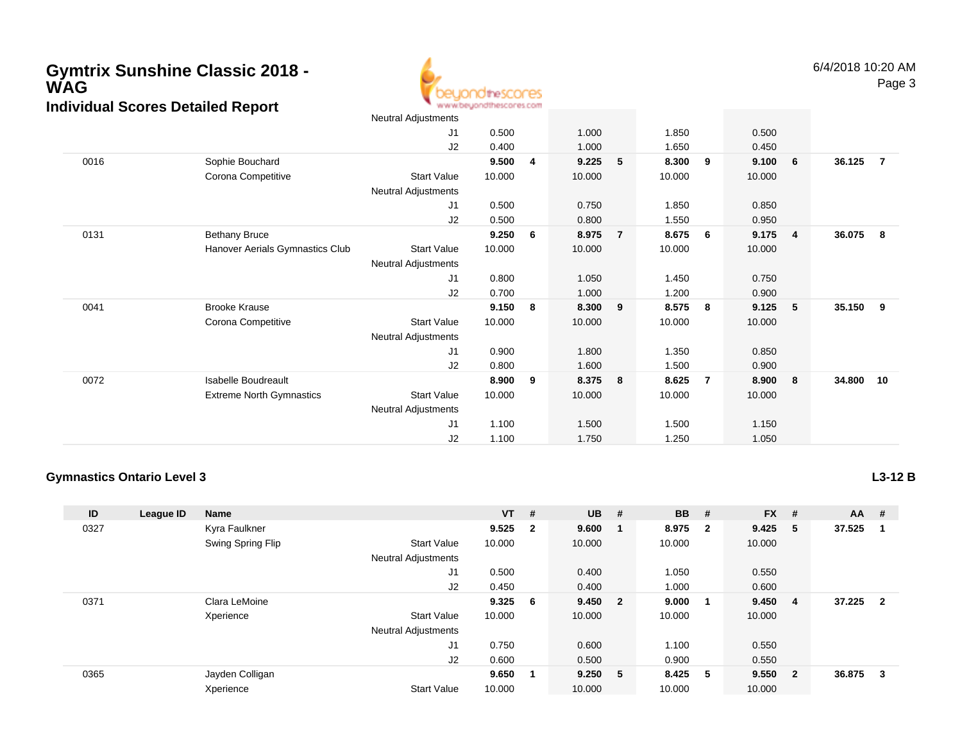

|      |                                 | Neutral Adjustments |        |   |        |                |        |                |        |                |        |    |
|------|---------------------------------|---------------------|--------|---|--------|----------------|--------|----------------|--------|----------------|--------|----|
|      |                                 | J1                  | 0.500  |   | 1.000  |                | 1.850  |                | 0.500  |                |        |    |
|      |                                 | J2                  | 0.400  |   | 1.000  |                | 1.650  |                | 0.450  |                |        |    |
| 0016 | Sophie Bouchard                 |                     | 9.500  | 4 | 9.225  | 5              | 8.300  | 9              | 9.100  | - 6            | 36.125 | -7 |
|      | Corona Competitive              | <b>Start Value</b>  | 10.000 |   | 10.000 |                | 10.000 |                | 10.000 |                |        |    |
|      |                                 | Neutral Adjustments |        |   |        |                |        |                |        |                |        |    |
|      |                                 | J1                  | 0.500  |   | 0.750  |                | 1.850  |                | 0.850  |                |        |    |
|      |                                 | J2                  | 0.500  |   | 0.800  |                | 1.550  |                | 0.950  |                |        |    |
| 0131 | <b>Bethany Bruce</b>            |                     | 9.250  | 6 | 8.975  | $\overline{7}$ | 8.675  | 6              | 9.175  | $\overline{4}$ | 36.075 | 8  |
|      | Hanover Aerials Gymnastics Club | <b>Start Value</b>  | 10.000 |   | 10.000 |                | 10.000 |                | 10.000 |                |        |    |
|      |                                 | Neutral Adjustments |        |   |        |                |        |                |        |                |        |    |
|      |                                 | J1                  | 0.800  |   | 1.050  |                | 1.450  |                | 0.750  |                |        |    |
|      |                                 | J2                  | 0.700  |   | 1.000  |                | 1.200  |                | 0.900  |                |        |    |
| 0041 | <b>Brooke Krause</b>            |                     | 9.150  | 8 | 8.300  | 9              | 8.575  | 8              | 9.125  | - 5            | 35.150 | 9  |
|      | Corona Competitive              | <b>Start Value</b>  | 10.000 |   | 10.000 |                | 10.000 |                | 10.000 |                |        |    |
|      |                                 | Neutral Adjustments |        |   |        |                |        |                |        |                |        |    |
|      |                                 | J1                  | 0.900  |   | 1.800  |                | 1.350  |                | 0.850  |                |        |    |
|      |                                 | J2                  | 0.800  |   | 1.600  |                | 1.500  |                | 0.900  |                |        |    |
| 0072 | <b>Isabelle Boudreault</b>      |                     | 8.900  | 9 | 8.375  | 8              | 8.625  | $\overline{7}$ | 8.900  | - 8            | 34.800 | 10 |
|      | <b>Extreme North Gymnastics</b> | <b>Start Value</b>  | 10.000 |   | 10.000 |                | 10.000 |                | 10.000 |                |        |    |
|      |                                 | Neutral Adjustments |        |   |        |                |        |                |        |                |        |    |
|      |                                 | J1                  | 1.100  |   | 1.500  |                | 1.500  |                | 1.150  |                |        |    |
|      |                                 | J2                  | 1.100  |   | 1.750  |                | 1.250  |                | 1.050  |                |        |    |

#### **Gymnastics Ontario Level 3**

**ID League ID Name VT # UB # BB # FX # AA #** 0327 Kyra Faulkner **9.525 <sup>2</sup> 9.600 <sup>1</sup> 8.975 <sup>2</sup> 9.425 <sup>5</sup> 37.525 <sup>1</sup>** Swing Spring Flip Start Value 10.000 10.000 10.000 10.000 Neutral Adjustments J1 0.500 0.400 1.050 0.550 J2 0.450 0.400 1.000 0.600 0371 Clara LeMoine **9.325 <sup>6</sup> 9.450 <sup>2</sup> 9.000 <sup>1</sup> 9.450 <sup>4</sup> 37.225 <sup>2</sup>** Xperience Start Value 10.000 10.000 10.000 10.000 Neutral Adjustments J1 0.750 0.600 1.100 0.550 J2 0.600 0.500 0.900 0.550 0365 Jayden Colligan **9.650 <sup>1</sup> 9.250 <sup>5</sup> 8.425 <sup>5</sup> 9.550 <sup>2</sup> 36.875 <sup>3</sup>** XperienceStart Value 10.000 10.000 10.000 10.000

**L3-12 B**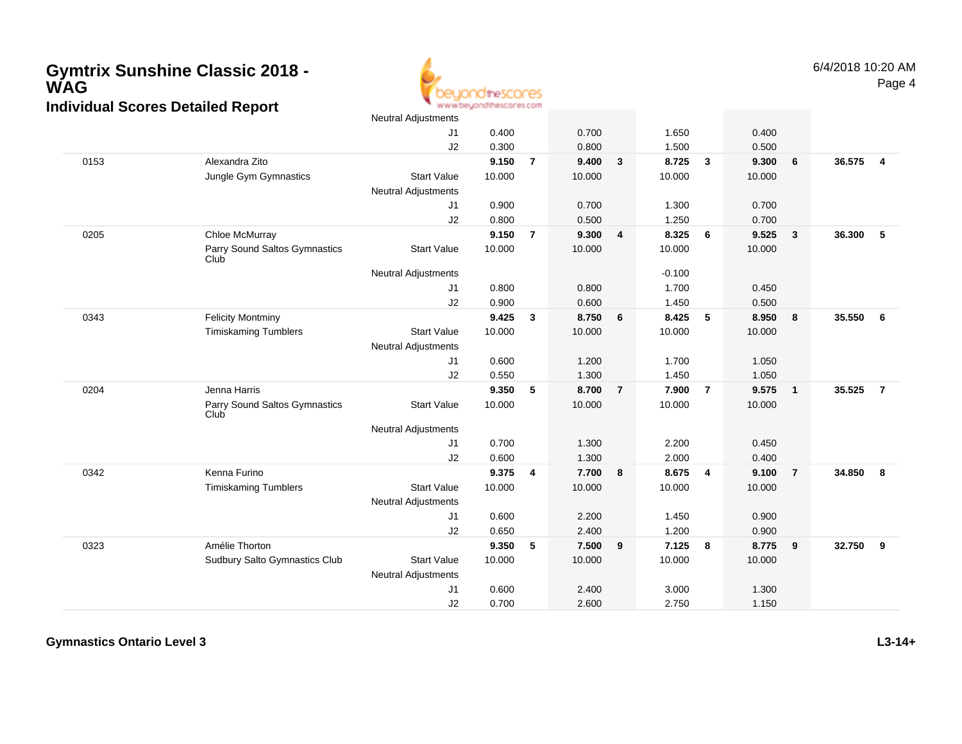

|      |                                       | Neutral Adjustments        |        |                |        |                |          |                         |        |                |        |                |
|------|---------------------------------------|----------------------------|--------|----------------|--------|----------------|----------|-------------------------|--------|----------------|--------|----------------|
|      |                                       | J1                         | 0.400  |                | 0.700  |                | 1.650    |                         | 0.400  |                |        |                |
|      |                                       | J2                         | 0.300  |                | 0.800  |                | 1.500    |                         | 0.500  |                |        |                |
| 0153 | Alexandra Zito                        |                            | 9.150  | $\overline{7}$ | 9.400  | $\mathbf{3}$   | 8.725    | $\overline{\mathbf{3}}$ | 9.300  | 6              | 36.575 | $\overline{4}$ |
|      | Jungle Gym Gymnastics                 | <b>Start Value</b>         | 10.000 |                | 10.000 |                | 10.000   |                         | 10.000 |                |        |                |
|      |                                       | Neutral Adjustments        |        |                |        |                |          |                         |        |                |        |                |
|      |                                       | J <sub>1</sub>             | 0.900  |                | 0.700  |                | 1.300    |                         | 0.700  |                |        |                |
|      |                                       | J2                         | 0.800  |                | 0.500  |                | 1.250    |                         | 0.700  |                |        |                |
| 0205 | Chloe McMurray                        |                            | 9.150  | $\overline{7}$ | 9.300  | 4              | 8.325    | 6                       | 9.525  | $\overline{3}$ | 36.300 | 5              |
|      | Parry Sound Saltos Gymnastics<br>Club | <b>Start Value</b>         | 10.000 |                | 10.000 |                | 10.000   |                         | 10.000 |                |        |                |
|      |                                       | Neutral Adjustments        |        |                |        |                | $-0.100$ |                         |        |                |        |                |
|      |                                       | J1                         | 0.800  |                | 0.800  |                | 1.700    |                         | 0.450  |                |        |                |
|      |                                       | J2                         | 0.900  |                | 0.600  |                | 1.450    |                         | 0.500  |                |        |                |
| 0343 | <b>Felicity Montminy</b>              |                            | 9.425  | 3              | 8.750  | 6              | 8.425    | -5                      | 8.950  | 8              | 35.550 | 6              |
|      | <b>Timiskaming Tumblers</b>           | <b>Start Value</b>         | 10.000 |                | 10.000 |                | 10.000   |                         | 10.000 |                |        |                |
|      |                                       | <b>Neutral Adjustments</b> |        |                |        |                |          |                         |        |                |        |                |
|      |                                       | J1                         | 0.600  |                | 1.200  |                | 1.700    |                         | 1.050  |                |        |                |
|      |                                       | J2                         | 0.550  |                | 1.300  |                | 1.450    |                         | 1.050  |                |        |                |
| 0204 | Jenna Harris                          |                            | 9.350  | 5              | 8.700  | $\overline{7}$ | 7.900    | $\overline{7}$          | 9.575  | $\overline{1}$ | 35.525 | $\overline{7}$ |
|      | Parry Sound Saltos Gymnastics<br>Club | <b>Start Value</b>         | 10.000 |                | 10.000 |                | 10.000   |                         | 10.000 |                |        |                |
|      |                                       | Neutral Adjustments        |        |                |        |                |          |                         |        |                |        |                |
|      |                                       | J1                         | 0.700  |                | 1.300  |                | 2.200    |                         | 0.450  |                |        |                |
|      |                                       | J2                         | 0.600  |                | 1.300  |                | 2.000    |                         | 0.400  |                |        |                |
| 0342 | Kenna Furino                          |                            | 9.375  | 4              | 7.700  | 8              | 8.675    | $\overline{4}$          | 9.100  | $\overline{7}$ | 34.850 | 8              |
|      | <b>Timiskaming Tumblers</b>           | <b>Start Value</b>         | 10.000 |                | 10.000 |                | 10.000   |                         | 10.000 |                |        |                |
|      |                                       | <b>Neutral Adjustments</b> |        |                |        |                |          |                         |        |                |        |                |
|      |                                       | J1                         | 0.600  |                | 2.200  |                | 1.450    |                         | 0.900  |                |        |                |
|      |                                       | J2                         | 0.650  |                | 2.400  |                | 1.200    |                         | 0.900  |                |        |                |
| 0323 | Amélie Thorton                        |                            | 9.350  | 5              | 7.500  | 9              | 7.125    | 8                       | 8.775  | 9              | 32.750 | 9              |
|      | Sudbury Salto Gymnastics Club         | <b>Start Value</b>         | 10.000 |                | 10.000 |                | 10.000   |                         | 10.000 |                |        |                |
|      |                                       | <b>Neutral Adjustments</b> |        |                |        |                |          |                         |        |                |        |                |
|      |                                       | J1                         | 0.600  |                | 2.400  |                | 3.000    |                         | 1.300  |                |        |                |
|      |                                       | J2                         | 0.700  |                | 2.600  |                | 2.750    |                         | 1.150  |                |        |                |

**Gymnastics Ontario Level 3**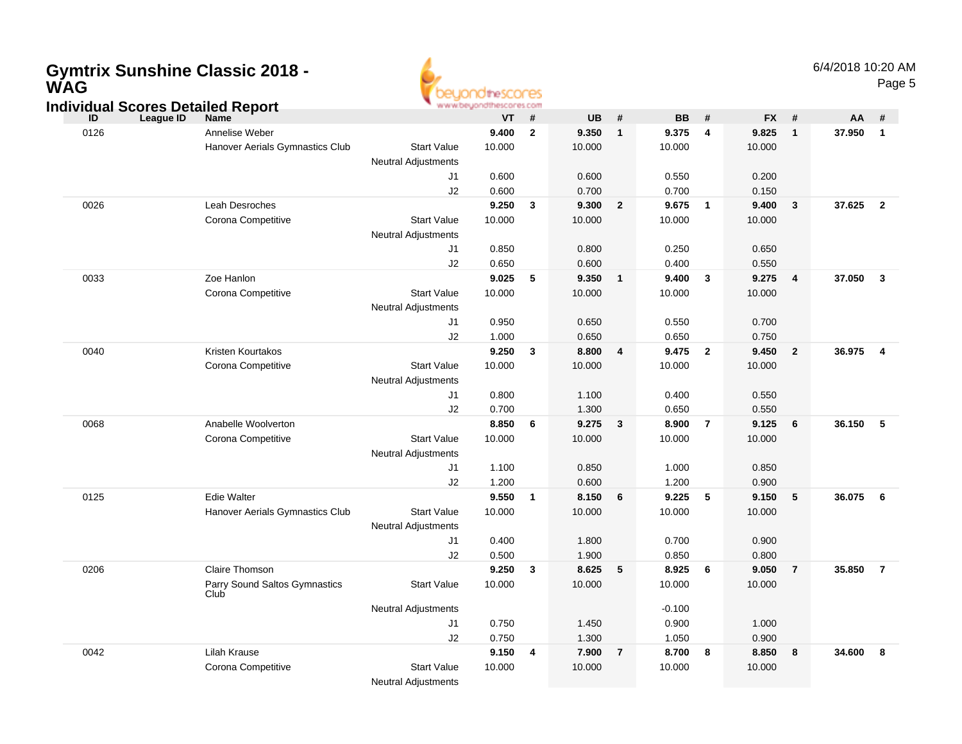### **Gymtrix Sunshine Classic 2018 -WAG**



#### **ID League ID Name VT # UB # BB # FX # AA # Individual Scores Detailed Report** 0126 Annelise Weber **9.400 <sup>2</sup> 9.350 <sup>1</sup> 9.375 <sup>4</sup> 9.825 <sup>1</sup> 37.950 <sup>1</sup>** Hanover Aerials Gymnastics Clubb Start Value 10.000 10.000 10.000 10.000 10.000 Neutral AdjustmentsJ1 0.600 0.600 0.550 0.200 J2 0.600 0.700 0.700 0.150 0026 Leah Desroches **9.250 <sup>3</sup> 9.300 <sup>2</sup> 9.675 <sup>1</sup> 9.400 <sup>3</sup> 37.625 <sup>2</sup>** Corona Competitive Start Value 10.000 10.000 10.000 10.000 Neutral AdjustmentsJ1 0.850 0.800 0.250 0.650 J2 0.650 0.600 0.400 0.550 0033 Zoe Hanlon **9.025 <sup>5</sup> 9.350 <sup>1</sup> 9.400 <sup>3</sup> 9.275 <sup>4</sup> 37.050 <sup>3</sup>** Corona Competitive Start Value 10.000 10.000 10.000 10.000 Neutral Adjustments J1 0.950 0.650 0.550 0.700 J2 1.000 0.650 0.650 0.750 0040 Kristen Kourtakos **9.250 <sup>3</sup> 8.800 <sup>4</sup> 9.475 <sup>2</sup> 9.450 <sup>2</sup> 36.975 <sup>4</sup>** Corona Competitive Start Value 10.000 10.000 10.000 10.000 Neutral Adjustments J1 0.800 1.100 0.400 0.550 J2 0.700 1.300 0.650 0.550 0068 Anabelle Woolverton **8.850 <sup>6</sup> 9.275 <sup>3</sup> 8.900 <sup>7</sup> 9.125 <sup>6</sup> 36.150 <sup>5</sup>** Corona Competitive Start Value 10.000 10.000 10.000 10.000 Neutral AdjustmentsJ1 1.100 0.850 1.000 0.850 J2 1.200 0.600 1.200 0.900 0125 Edie Walter **9.550 <sup>1</sup> 8.150 <sup>6</sup> 9.225 <sup>5</sup> 9.150 <sup>5</sup> 36.075 <sup>6</sup>** Hanover Aerials Gymnastics Clubb Start Value 10.000 10.000 10.000 10.000 10.000 Neutral Adjustments J1 0.400 1.800 0.700 0.900 J2 0.500 1.900 0.850 0.800 0206 Claire Thomson **9.250 <sup>3</sup> 8.625 <sup>5</sup> 8.925 <sup>6</sup> 9.050 <sup>7</sup> 35.850 <sup>7</sup>** Parry Sound Saltos GymnasticsClubStart Valuee 10.000 10.000 10.000 10.000 Neutral Adjustments $\sim$  -0.100 0.900 J1 0.750 1.450 0.900 1.000 J22 0.750 1.300 1.050 0.900 0042 Lilah Krause **9.150 <sup>4</sup> 7.900 <sup>7</sup> 8.700 <sup>8</sup> 8.850 <sup>8</sup> 34.600 <sup>8</sup>** Corona Competitive Start Value 10.000 10.000 10.000 10.000 Neutral Adjustments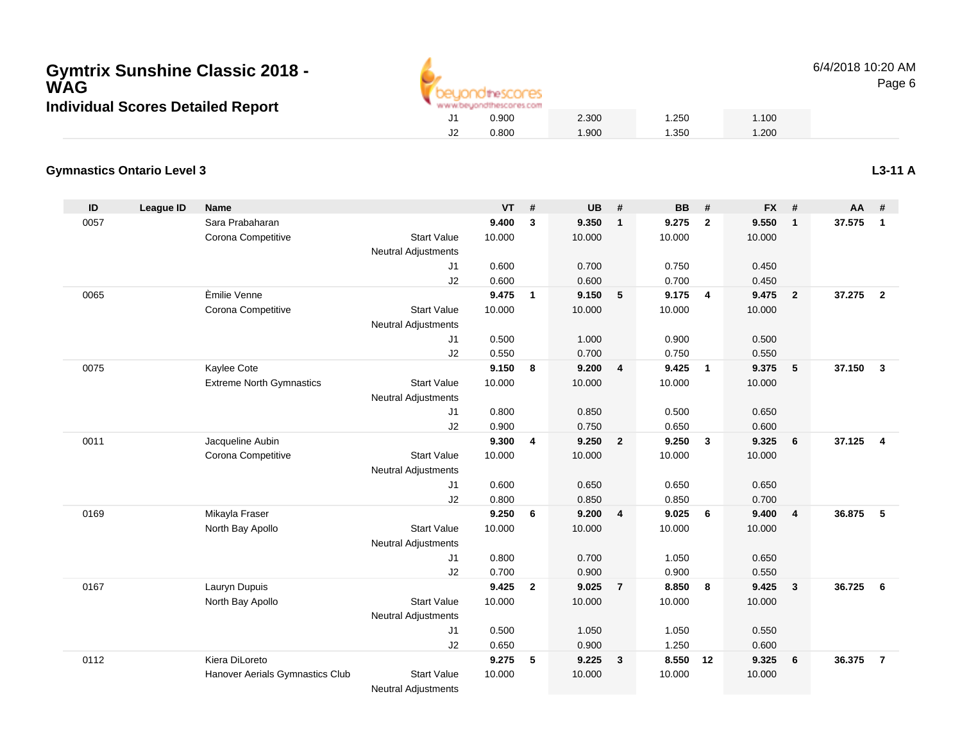

6/4/2018 10:20 AMPage 6

#### **Gymnastics Ontario Level 3**

| ID   | <b>League ID</b> | <b>Name</b>                     |                            | <b>VT</b> | #              | <b>UB</b> | #                       | <b>BB</b> | #              | <b>FX</b> | #              | AA     | #              |
|------|------------------|---------------------------------|----------------------------|-----------|----------------|-----------|-------------------------|-----------|----------------|-----------|----------------|--------|----------------|
| 0057 |                  | Sara Prabaharan                 |                            | 9.400     | 3              | 9.350     | $\overline{1}$          | 9.275     | $\overline{2}$ | 9.550     | $\mathbf{1}$   | 37.575 | $\mathbf{1}$   |
|      |                  | Corona Competitive              | <b>Start Value</b>         | 10.000    |                | 10.000    |                         | 10.000    |                | 10.000    |                |        |                |
|      |                  |                                 | <b>Neutral Adjustments</b> |           |                |           |                         |           |                |           |                |        |                |
|      |                  |                                 | J <sub>1</sub>             | 0.600     |                | 0.700     |                         | 0.750     |                | 0.450     |                |        |                |
|      |                  |                                 | J2                         | 0.600     |                | 0.600     |                         | 0.700     |                | 0.450     |                |        |                |
| 0065 |                  | Èmilie Venne                    |                            | 9.475     | $\mathbf{1}$   | 9.150     | $-5$                    | 9.175     | $\overline{4}$ | 9.475     | $\overline{2}$ | 37.275 | $\overline{2}$ |
|      |                  | Corona Competitive              | <b>Start Value</b>         | 10.000    |                | 10.000    |                         | 10.000    |                | 10.000    |                |        |                |
|      |                  |                                 | <b>Neutral Adjustments</b> |           |                |           |                         |           |                |           |                |        |                |
|      |                  |                                 | J1                         | 0.500     |                | 1.000     |                         | 0.900     |                | 0.500     |                |        |                |
|      |                  |                                 | J2                         | 0.550     |                | 0.700     |                         | 0.750     |                | 0.550     |                |        |                |
| 0075 |                  | Kaylee Cote                     |                            | 9.150     | 8              | 9.200     | $\overline{4}$          | 9.425     | $\overline{1}$ | 9.375     | 5              | 37.150 | $\mathbf{3}$   |
|      |                  | <b>Extreme North Gymnastics</b> | <b>Start Value</b>         | 10.000    |                | 10.000    |                         | 10.000    |                | 10.000    |                |        |                |
|      |                  |                                 | <b>Neutral Adjustments</b> |           |                |           |                         |           |                |           |                |        |                |
|      |                  |                                 | J <sub>1</sub>             | 0.800     |                | 0.850     |                         | 0.500     |                | 0.650     |                |        |                |
|      |                  |                                 | J2                         | 0.900     |                | 0.750     |                         | 0.650     |                | 0.600     |                |        |                |
| 0011 |                  | Jacqueline Aubin                |                            | 9.300     | 4              | 9.250     | $\overline{\mathbf{2}}$ | 9.250     | $\mathbf{3}$   | 9.325     | 6              | 37.125 | $\overline{4}$ |
|      |                  | Corona Competitive              | <b>Start Value</b>         | 10.000    |                | 10.000    |                         | 10.000    |                | 10.000    |                |        |                |
|      |                  |                                 | <b>Neutral Adjustments</b> |           |                |           |                         |           |                |           |                |        |                |
|      |                  |                                 | J1                         | 0.600     |                | 0.650     |                         | 0.650     |                | 0.650     |                |        |                |
|      |                  |                                 | J2                         | 0.800     |                | 0.850     |                         | 0.850     |                | 0.700     |                |        |                |
| 0169 |                  | Mikayla Fraser                  |                            | 9.250     | 6              | 9.200     | $\overline{4}$          | 9.025     | - 6            | 9.400     | $\overline{4}$ | 36.875 | 5              |
|      |                  | North Bay Apollo                | <b>Start Value</b>         | 10.000    |                | 10.000    |                         | 10.000    |                | 10.000    |                |        |                |
|      |                  |                                 | <b>Neutral Adjustments</b> |           |                |           |                         |           |                |           |                |        |                |
|      |                  |                                 | J1                         | 0.800     |                | 0.700     |                         | 1.050     |                | 0.650     |                |        |                |
|      |                  |                                 | J2                         | 0.700     |                | 0.900     |                         | 0.900     |                | 0.550     |                |        |                |
| 0167 |                  | Lauryn Dupuis                   |                            | 9.425     | $\overline{2}$ | 9.025     | $\overline{7}$          | 8.850     | 8              | 9.425     | 3              | 36.725 | 6              |
|      |                  | North Bay Apollo                | <b>Start Value</b>         | 10.000    |                | 10.000    |                         | 10.000    |                | 10.000    |                |        |                |
|      |                  |                                 | <b>Neutral Adjustments</b> |           |                |           |                         |           |                |           |                |        |                |
|      |                  |                                 | J1                         | 0.500     |                | 1.050     |                         | 1.050     |                | 0.550     |                |        |                |
|      |                  |                                 | J2                         | 0.650     |                | 0.900     |                         | 1.250     |                | 0.600     |                |        |                |
| 0112 |                  | Kiera DiLoreto                  |                            | 9.275     | 5              | 9.225     | $\overline{\mathbf{3}}$ | 8.550     | 12             | 9.325     | 6              | 36.375 | $\overline{7}$ |
|      |                  | Hanover Aerials Gymnastics Club | <b>Start Value</b>         | 10.000    |                | 10.000    |                         | 10.000    |                | 10.000    |                |        |                |
|      |                  |                                 | <b>Neutral Adjustments</b> |           |                |           |                         |           |                |           |                |        |                |

**L3-11 A**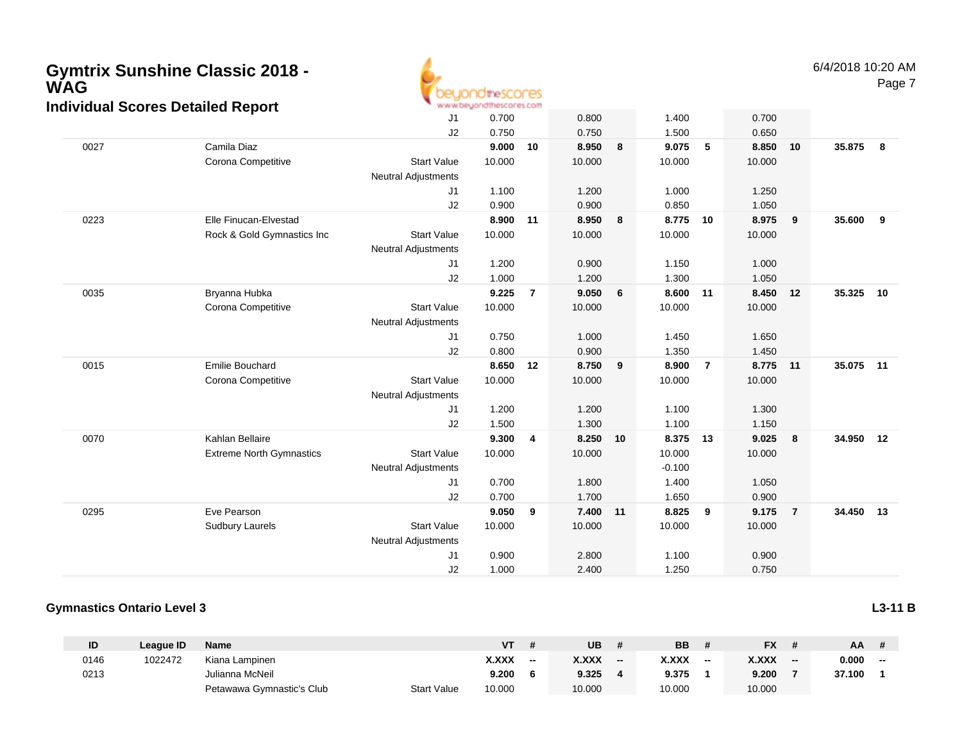

|      |                                 | J1                         | 0.700  |                | 0.800  |    | 1.400    |                | 0.700    |                         |           |    |
|------|---------------------------------|----------------------------|--------|----------------|--------|----|----------|----------------|----------|-------------------------|-----------|----|
|      |                                 | J2                         | 0.750  |                | 0.750  |    | 1.500    |                | 0.650    |                         |           |    |
| 0027 | Camila Diaz                     |                            | 9.000  | 10             | 8.950  | 8  | 9.075    | 5              | 8.850    | 10                      | 35.875    | 8  |
|      | Corona Competitive              | <b>Start Value</b>         | 10.000 |                | 10.000 |    | 10.000   |                | 10.000   |                         |           |    |
|      |                                 | Neutral Adjustments        |        |                |        |    |          |                |          |                         |           |    |
|      |                                 | J1                         | 1.100  |                | 1.200  |    | 1.000    |                | 1.250    |                         |           |    |
|      |                                 | J2                         | 0.900  |                | 0.900  |    | 0.850    |                | 1.050    |                         |           |    |
| 0223 | Elle Finucan-Elvestad           |                            | 8.900  | 11             | 8.950  | 8  | 8.775 10 |                | 8.975    | $\overline{\mathbf{9}}$ | 35.600    | 9  |
|      | Rock & Gold Gymnastics Inc      | <b>Start Value</b>         | 10.000 |                | 10.000 |    | 10.000   |                | 10.000   |                         |           |    |
|      |                                 | <b>Neutral Adjustments</b> |        |                |        |    |          |                |          |                         |           |    |
|      |                                 | J <sub>1</sub>             | 1.200  |                | 0.900  |    | 1.150    |                | 1.000    |                         |           |    |
|      |                                 | J2                         | 1.000  |                | 1.200  |    | 1.300    |                | 1.050    |                         |           |    |
| 0035 | Bryanna Hubka                   |                            | 9.225  | $\overline{7}$ | 9.050  | 6  | 8.600 11 |                | 8.450    | 12                      | 35.325    | 10 |
|      | Corona Competitive              | <b>Start Value</b>         | 10.000 |                | 10.000 |    | 10.000   |                | 10.000   |                         |           |    |
|      |                                 | <b>Neutral Adjustments</b> |        |                |        |    |          |                |          |                         |           |    |
|      |                                 | J1                         | 0.750  |                | 1.000  |    | 1.450    |                | 1.650    |                         |           |    |
|      |                                 | J2                         | 0.800  |                | 0.900  |    | 1.350    |                | 1.450    |                         |           |    |
| 0015 | Emilie Bouchard                 |                            | 8.650  | 12             | 8.750  | 9  | 8.900    | $\overline{7}$ | 8.775 11 |                         | 35.075 11 |    |
|      | Corona Competitive              | <b>Start Value</b>         | 10.000 |                | 10.000 |    | 10.000   |                | 10.000   |                         |           |    |
|      |                                 | Neutral Adjustments        |        |                |        |    |          |                |          |                         |           |    |
|      |                                 | J1                         | 1.200  |                | 1.200  |    | 1.100    |                | 1.300    |                         |           |    |
|      |                                 | J2                         | 1.500  |                | 1.300  |    | 1.100    |                | 1.150    |                         |           |    |
| 0070 | Kahlan Bellaire                 |                            | 9.300  | 4              | 8.250  | 10 | 8.375 13 |                | 9.025    | $\overline{\mathbf{8}}$ | 34.950 12 |    |
|      | <b>Extreme North Gymnastics</b> | <b>Start Value</b>         | 10.000 |                | 10.000 |    | 10.000   |                | 10.000   |                         |           |    |
|      |                                 | <b>Neutral Adjustments</b> |        |                |        |    | $-0.100$ |                |          |                         |           |    |
|      |                                 | J1                         | 0.700  |                | 1.800  |    | 1.400    |                | 1.050    |                         |           |    |
|      |                                 | J2                         | 0.700  |                | 1.700  |    | 1.650    |                | 0.900    |                         |           |    |
| 0295 | Eve Pearson                     |                            | 9.050  | 9              | 7.400  | 11 | 8.825    | 9              | 9.175    | $\overline{7}$          | 34.450 13 |    |
|      | Sudbury Laurels                 | <b>Start Value</b>         | 10.000 |                | 10.000 |    | 10.000   |                | 10.000   |                         |           |    |
|      |                                 | <b>Neutral Adjustments</b> |        |                |        |    |          |                |          |                         |           |    |
|      |                                 | J <sub>1</sub>             | 0.900  |                | 2.800  |    | 1.100    |                | 0.900    |                         |           |    |
|      |                                 | J2                         | 1.000  |                | 2.400  |    | 1.250    |                | 0.750    |                         |           |    |

#### **Gymnastics Ontario Level 3**

**ID League ID Name VT # UB # BB # FX # AA #** 0146 <sup>1022472</sup> Kiana Lampinen **X.XXX -- X.XXX -- X.XXX -- X.XXX -- 0.000 --** 0213 Julianna McNeil **9.200 <sup>6</sup> 9.325 <sup>4</sup> 9.375 <sup>1</sup> 9.200 <sup>7</sup> 37.100 <sup>1</sup>** Petawawa Gymnastic's ClubStart Value 10.000 10.000 10.000 10.000

**L3-11 B**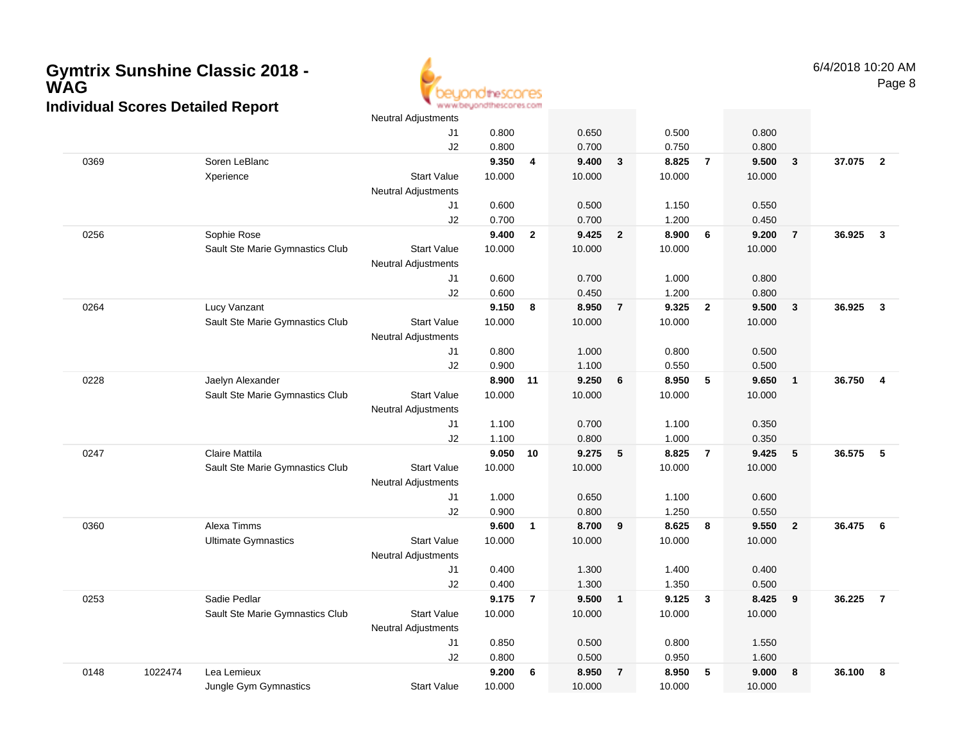

|      |         |                                 | <b>Neutral Adjustments</b> |        |                |        |                |        |                         |        |                         |        |                |
|------|---------|---------------------------------|----------------------------|--------|----------------|--------|----------------|--------|-------------------------|--------|-------------------------|--------|----------------|
|      |         |                                 | J1                         | 0.800  |                | 0.650  |                | 0.500  |                         | 0.800  |                         |        |                |
|      |         |                                 | J2                         | 0.800  |                | 0.700  |                | 0.750  |                         | 0.800  |                         |        |                |
| 0369 |         | Soren LeBlanc                   |                            | 9.350  | 4              | 9.400  | $\mathbf{3}$   | 8.825  | $\overline{7}$          | 9.500  | $\overline{\mathbf{3}}$ | 37.075 | $\overline{2}$ |
|      |         | Xperience                       | <b>Start Value</b>         | 10.000 |                | 10.000 |                | 10.000 |                         | 10.000 |                         |        |                |
|      |         |                                 | <b>Neutral Adjustments</b> |        |                |        |                |        |                         |        |                         |        |                |
|      |         |                                 | J1                         | 0.600  |                | 0.500  |                | 1.150  |                         | 0.550  |                         |        |                |
|      |         |                                 | J2                         | 0.700  |                | 0.700  |                | 1.200  |                         | 0.450  |                         |        |                |
| 0256 |         | Sophie Rose                     |                            | 9.400  | $\overline{2}$ | 9.425  | $\overline{2}$ | 8.900  | 6                       | 9.200  | $\overline{7}$          | 36.925 | $\mathbf{3}$   |
|      |         | Sault Ste Marie Gymnastics Club | <b>Start Value</b>         | 10.000 |                | 10.000 |                | 10.000 |                         | 10.000 |                         |        |                |
|      |         |                                 | <b>Neutral Adjustments</b> |        |                |        |                |        |                         |        |                         |        |                |
|      |         |                                 | J1                         | 0.600  |                | 0.700  |                | 1.000  |                         | 0.800  |                         |        |                |
|      |         |                                 | J2                         | 0.600  |                | 0.450  |                | 1.200  |                         | 0.800  |                         |        |                |
| 0264 |         | Lucy Vanzant                    |                            | 9.150  | 8              | 8.950  | $\overline{7}$ | 9.325  | $\overline{\mathbf{2}}$ | 9.500  | $\overline{\mathbf{3}}$ | 36.925 | $\mathbf{3}$   |
|      |         | Sault Ste Marie Gymnastics Club | <b>Start Value</b>         | 10.000 |                | 10.000 |                | 10.000 |                         | 10.000 |                         |        |                |
|      |         |                                 | <b>Neutral Adjustments</b> |        |                |        |                |        |                         |        |                         |        |                |
|      |         |                                 | J1                         | 0.800  |                | 1.000  |                | 0.800  |                         | 0.500  |                         |        |                |
|      |         |                                 | J2                         | 0.900  |                | 1.100  |                | 0.550  |                         | 0.500  |                         |        |                |
| 0228 |         | Jaelyn Alexander                |                            | 8.900  | 11             | 9.250  | 6              | 8.950  | 5                       | 9.650  | $\mathbf{1}$            | 36.750 | $\overline{4}$ |
|      |         | Sault Ste Marie Gymnastics Club | <b>Start Value</b>         | 10.000 |                | 10.000 |                | 10.000 |                         | 10.000 |                         |        |                |
|      |         |                                 | Neutral Adjustments        |        |                |        |                |        |                         |        |                         |        |                |
|      |         |                                 | J1                         | 1.100  |                | 0.700  |                | 1.100  |                         | 0.350  |                         |        |                |
|      |         |                                 | J2                         | 1.100  |                | 0.800  |                | 1.000  |                         | 0.350  |                         |        |                |
| 0247 |         | Claire Mattila                  |                            | 9.050  | 10             | 9.275  | 5              | 8.825  | $\overline{7}$          | 9.425  | 5                       | 36.575 | 5              |
|      |         | Sault Ste Marie Gymnastics Club | <b>Start Value</b>         | 10.000 |                | 10.000 |                | 10.000 |                         | 10.000 |                         |        |                |
|      |         |                                 | <b>Neutral Adjustments</b> |        |                |        |                |        |                         |        |                         |        |                |
|      |         |                                 | J1                         | 1.000  |                | 0.650  |                | 1.100  |                         | 0.600  |                         |        |                |
|      |         |                                 | J2                         | 0.900  |                | 0.800  |                | 1.250  |                         | 0.550  |                         |        |                |
| 0360 |         | Alexa Timms                     |                            | 9.600  | $\overline{1}$ | 8.700  | 9              | 8.625  | 8                       | 9.550  | $\overline{2}$          | 36.475 | - 6            |
|      |         | <b>Ultimate Gymnastics</b>      | <b>Start Value</b>         | 10.000 |                | 10.000 |                | 10.000 |                         | 10.000 |                         |        |                |
|      |         |                                 | <b>Neutral Adjustments</b> |        |                |        |                |        |                         |        |                         |        |                |
|      |         |                                 | J1                         | 0.400  |                | 1.300  |                | 1.400  |                         | 0.400  |                         |        |                |
|      |         |                                 | J2                         | 0.400  |                | 1.300  |                | 1.350  |                         | 0.500  |                         |        |                |
| 0253 |         | Sadie Pedlar                    |                            | 9.175  | $\overline{7}$ | 9.500  | $\overline{1}$ | 9.125  | $\overline{\mathbf{3}}$ | 8.425  | 9                       | 36.225 | $\overline{7}$ |
|      |         | Sault Ste Marie Gymnastics Club | <b>Start Value</b>         | 10.000 |                | 10.000 |                | 10.000 |                         | 10.000 |                         |        |                |
|      |         |                                 | <b>Neutral Adjustments</b> |        |                |        |                |        |                         |        |                         |        |                |
|      |         |                                 | J1                         | 0.850  |                | 0.500  |                | 0.800  |                         | 1.550  |                         |        |                |
|      |         |                                 | J2                         | 0.800  |                | 0.500  |                | 0.950  |                         | 1.600  |                         |        |                |
| 0148 | 1022474 | Lea Lemieux                     |                            | 9.200  | 6              | 8.950  | $\overline{7}$ | 8.950  | 5                       | 9.000  | 8                       | 36.100 | 8              |
|      |         | Jungle Gym Gymnastics           | <b>Start Value</b>         | 10.000 |                | 10.000 |                | 10.000 |                         | 10.000 |                         |        |                |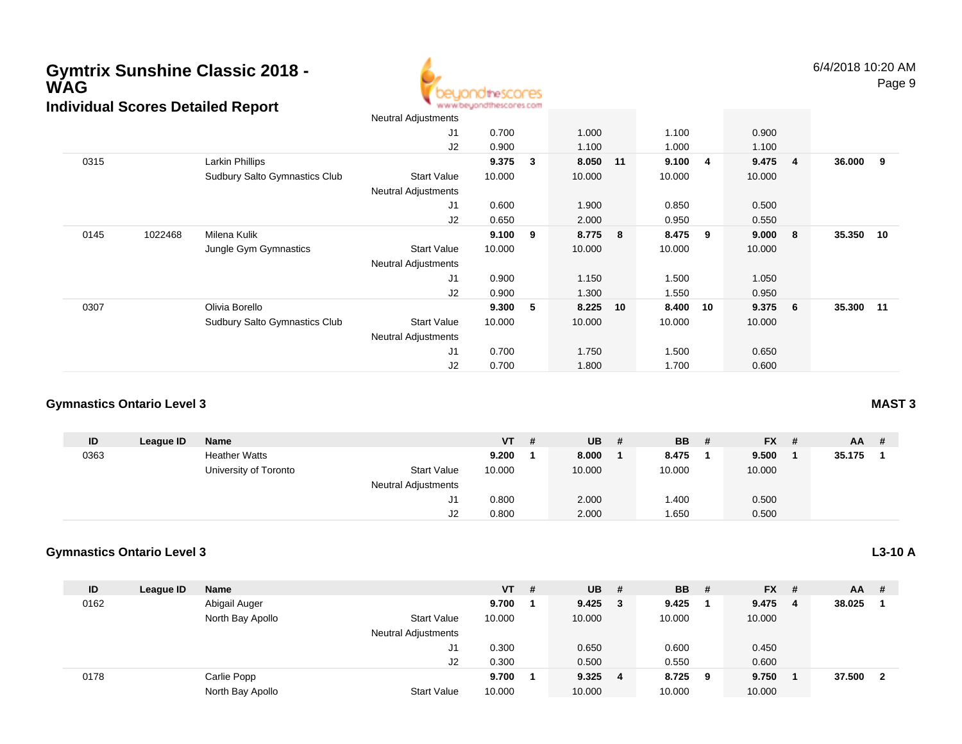

|      |                                      | Neutral Adjustments        |        |   |          |    |         |    |         |                         |           |     |
|------|--------------------------------------|----------------------------|--------|---|----------|----|---------|----|---------|-------------------------|-----------|-----|
|      |                                      | J <sub>1</sub>             | 0.700  |   | 1.000    |    | 1.100   |    | 0.900   |                         |           |     |
|      |                                      | J2                         | 0.900  |   | 1.100    |    | 1.000   |    | 1.100   |                         |           |     |
| 0315 | Larkin Phillips                      |                            | 9.375  | 3 | 8.050 11 |    | 9.100 4 |    | 9.475   | $\overline{\mathbf{4}}$ | 36.000    | - 9 |
|      | Sudbury Salto Gymnastics Club        | <b>Start Value</b>         | 10.000 |   | 10.000   |    | 10.000  |    | 10.000  |                         |           |     |
|      |                                      | <b>Neutral Adjustments</b> |        |   |          |    |         |    |         |                         |           |     |
|      |                                      | J <sub>1</sub>             | 0.600  |   | 1.900    |    | 0.850   |    | 0.500   |                         |           |     |
|      |                                      | J2                         | 0.650  |   | 2.000    |    | 0.950   |    | 0.550   |                         |           |     |
| 0145 | Milena Kulik<br>1022468              |                            | 9.100  | 9 | 8.775    | 8  | 8.475   | 9  | 9.000   | - 8                     | 35.350    | 10  |
|      | Jungle Gym Gymnastics                | <b>Start Value</b>         | 10.000 |   | 10.000   |    | 10.000  |    | 10.000  |                         |           |     |
|      |                                      | <b>Neutral Adjustments</b> |        |   |          |    |         |    |         |                         |           |     |
|      |                                      | J <sub>1</sub>             | 0.900  |   | 1.150    |    | 1.500   |    | 1.050   |                         |           |     |
|      |                                      | J2                         | 0.900  |   | 1.300    |    | 1.550   |    | 0.950   |                         |           |     |
| 0307 | Olivia Borello                       |                            | 9.300  | 5 | 8.225    | 10 | 8.400   | 10 | 9.375 6 |                         | 35.300 11 |     |
|      | <b>Sudbury Salto Gymnastics Club</b> | <b>Start Value</b>         | 10.000 |   | 10.000   |    | 10.000  |    | 10.000  |                         |           |     |
|      |                                      | <b>Neutral Adjustments</b> |        |   |          |    |         |    |         |                         |           |     |
|      |                                      | J <sub>1</sub>             | 0.700  |   | 1.750    |    | 1.500   |    | 0.650   |                         |           |     |
|      |                                      | J <sub>2</sub>             | 0.700  |   | 1.800    |    | 1.700   |    | 0.600   |                         |           |     |

#### **Gymnastics Ontario Level 3**

| ID   | League ID | Name                  |                            | $VT$ # | <b>UB</b> | - # | <b>BB</b> | # | <b>FX</b> | # | <b>AA</b> |  |
|------|-----------|-----------------------|----------------------------|--------|-----------|-----|-----------|---|-----------|---|-----------|--|
| 0363 |           | <b>Heather Watts</b>  |                            | 9.200  | 8.000     |     | 8.475     |   | 9.500     |   | 35.175    |  |
|      |           | University of Toronto | <b>Start Value</b>         | 10.000 | 10.000    |     | 10.000    |   | 10.000    |   |           |  |
|      |           |                       | <b>Neutral Adjustments</b> |        |           |     |           |   |           |   |           |  |
|      |           |                       | ັບ                         | 0.800  | 2.000     |     | 1.400     |   | 0.500     |   |           |  |
|      |           |                       | J2                         | 0.800  | 2.000     |     | 1.650     |   | 0.500     |   |           |  |

#### **Gymnastics Ontario Level 3**

| ID   | League ID | <b>Name</b>      |                            | $VT$ # | $UB$ #          |   | <b>BB</b> | - # | $FX$ # |   | <b>AA</b> | - #                     |
|------|-----------|------------------|----------------------------|--------|-----------------|---|-----------|-----|--------|---|-----------|-------------------------|
| 0162 |           | Abigail Auger    |                            | 9.700  | $9.425 \quad 3$ |   | 9.425     |     | 9.475  | 4 | 38.025    |                         |
|      |           | North Bay Apollo | <b>Start Value</b>         | 10.000 | 10.000          |   | 10.000    |     | 10.000 |   |           |                         |
|      |           |                  | <b>Neutral Adjustments</b> |        |                 |   |           |     |        |   |           |                         |
|      |           |                  | J1                         | 0.300  | 0.650           |   | 0.600     |     | 0.450  |   |           |                         |
|      |           |                  | J <sub>2</sub>             | 0.300  | 0.500           |   | 0.550     |     | 0.600  |   |           |                         |
| 0178 |           | Carlie Popp      |                            | 9.700  | 9.325           | 4 | 8.725     | 9   | 9.750  |   | 37.500    | $\overline{\mathbf{2}}$ |
|      |           | North Bay Apollo | <b>Start Value</b>         | 10.000 | 10.000          |   | 10.000    |     | 10.000 |   |           |                         |

#### **MAST 3**

### **L3-10 A**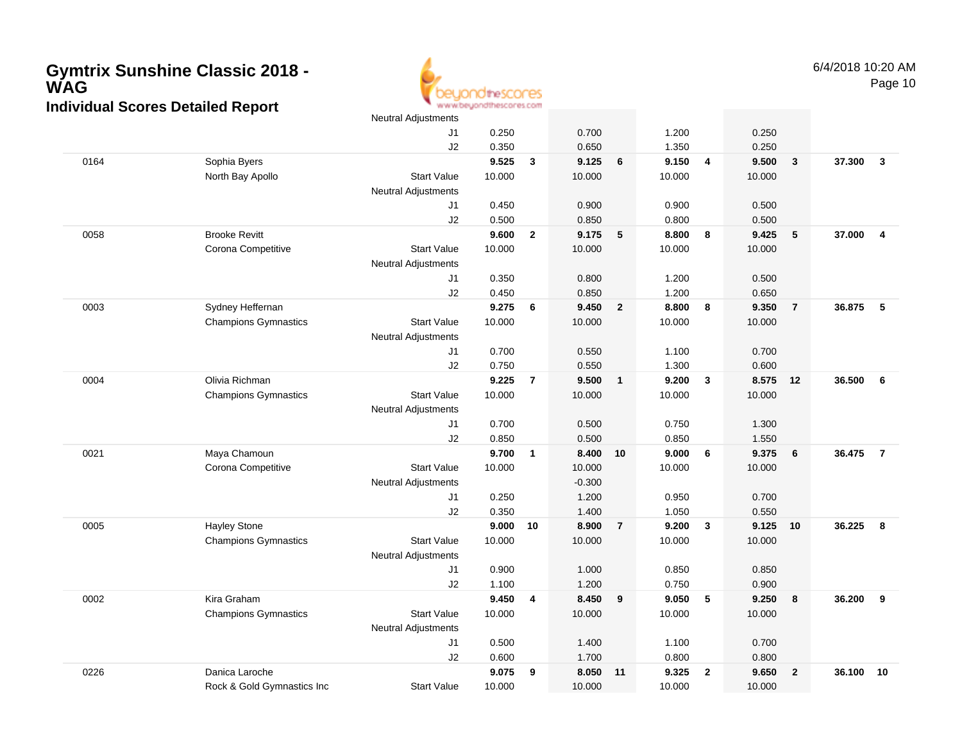

|      |                             | <b>Neutral Adjustments</b> |        |                |          |                 |        |                         |        |                |        |                |
|------|-----------------------------|----------------------------|--------|----------------|----------|-----------------|--------|-------------------------|--------|----------------|--------|----------------|
|      |                             | J1                         | 0.250  |                | 0.700    |                 | 1.200  |                         | 0.250  |                |        |                |
|      |                             | J2                         | 0.350  |                | 0.650    |                 | 1.350  |                         | 0.250  |                |        |                |
| 0164 | Sophia Byers                |                            | 9.525  | 3              | 9.125    | 6               | 9.150  | $\overline{4}$          | 9.500  | $\mathbf{3}$   | 37.300 | $\mathbf{3}$   |
|      | North Bay Apollo            | <b>Start Value</b>         | 10.000 |                | 10.000   |                 | 10.000 |                         | 10.000 |                |        |                |
|      |                             | <b>Neutral Adjustments</b> |        |                |          |                 |        |                         |        |                |        |                |
|      |                             | J1                         | 0.450  |                | 0.900    |                 | 0.900  |                         | 0.500  |                |        |                |
|      |                             | J2                         | 0.500  |                | 0.850    |                 | 0.800  |                         | 0.500  |                |        |                |
| 0058 | <b>Brooke Revitt</b>        |                            | 9.600  | $\mathbf{2}$   | 9.175    | $5\phantom{.0}$ | 8.800  | 8                       | 9.425  | 5              | 37.000 | $\overline{4}$ |
|      | Corona Competitive          | <b>Start Value</b>         | 10.000 |                | 10.000   |                 | 10.000 |                         | 10.000 |                |        |                |
|      |                             | <b>Neutral Adjustments</b> |        |                |          |                 |        |                         |        |                |        |                |
|      |                             | J1                         | 0.350  |                | 0.800    |                 | 1.200  |                         | 0.500  |                |        |                |
|      |                             | J2                         | 0.450  |                | 0.850    |                 | 1.200  |                         | 0.650  |                |        |                |
| 0003 | Sydney Heffernan            |                            | 9.275  | 6              | 9.450    | $\overline{2}$  | 8.800  | 8                       | 9.350  | $\overline{7}$ | 36.875 | 5              |
|      | <b>Champions Gymnastics</b> | <b>Start Value</b>         | 10.000 |                | 10.000   |                 | 10.000 |                         | 10.000 |                |        |                |
|      |                             | <b>Neutral Adjustments</b> |        |                |          |                 |        |                         |        |                |        |                |
|      |                             | J1                         | 0.700  |                | 0.550    |                 | 1.100  |                         | 0.700  |                |        |                |
|      |                             | J2                         | 0.750  |                | 0.550    |                 | 1.300  |                         | 0.600  |                |        |                |
| 0004 | Olivia Richman              |                            | 9.225  | $\overline{7}$ | 9.500    | $\mathbf{1}$    | 9.200  | $\overline{\mathbf{3}}$ | 8.575  | 12             | 36.500 | 6              |
|      | <b>Champions Gymnastics</b> | <b>Start Value</b>         | 10.000 |                | 10.000   |                 | 10.000 |                         | 10.000 |                |        |                |
|      |                             | <b>Neutral Adjustments</b> |        |                |          |                 |        |                         |        |                |        |                |
|      |                             | J1                         | 0.700  |                | 0.500    |                 | 0.750  |                         | 1.300  |                |        |                |
|      |                             | J2                         | 0.850  |                | 0.500    |                 | 0.850  |                         | 1.550  |                |        |                |
| 0021 | Maya Chamoun                |                            | 9.700  | $\mathbf{1}$   | 8.400    | 10              | 9.000  | 6                       | 9.375  | 6              | 36.475 | $\overline{7}$ |
|      | Corona Competitive          | <b>Start Value</b>         | 10.000 |                | 10.000   |                 | 10.000 |                         | 10.000 |                |        |                |
|      |                             | <b>Neutral Adjustments</b> |        |                | $-0.300$ |                 |        |                         |        |                |        |                |
|      |                             | J1                         | 0.250  |                | 1.200    |                 | 0.950  |                         | 0.700  |                |        |                |
|      |                             | J2                         | 0.350  |                | 1.400    |                 | 1.050  |                         | 0.550  |                |        |                |
| 0005 | <b>Hayley Stone</b>         |                            | 9.000  | 10             | 8.900    | $\overline{7}$  | 9.200  | $\mathbf{3}$            | 9.125  | 10             | 36.225 | 8              |
|      | <b>Champions Gymnastics</b> | <b>Start Value</b>         | 10.000 |                | 10.000   |                 | 10.000 |                         | 10.000 |                |        |                |
|      |                             | <b>Neutral Adjustments</b> |        |                |          |                 |        |                         |        |                |        |                |
|      |                             | J1                         | 0.900  |                | 1.000    |                 | 0.850  |                         | 0.850  |                |        |                |
|      |                             | J2                         | 1.100  |                | 1.200    |                 | 0.750  |                         | 0.900  |                |        |                |
| 0002 | Kira Graham                 |                            | 9.450  | 4              | 8.450    | 9               | 9.050  | $\sqrt{5}$              | 9.250  | 8              | 36.200 | 9              |
|      | <b>Champions Gymnastics</b> | <b>Start Value</b>         | 10.000 |                | 10.000   |                 | 10.000 |                         | 10.000 |                |        |                |
|      |                             | Neutral Adjustments        |        |                |          |                 |        |                         |        |                |        |                |
|      |                             | J1                         | 0.500  |                | 1.400    |                 | 1.100  |                         | 0.700  |                |        |                |
|      |                             | J2                         | 0.600  |                | 1.700    |                 | 0.800  |                         | 0.800  |                |        |                |
| 0226 | Danica Laroche              |                            | 9.075  | 9              | 8.050    | 11              | 9.325  | $\overline{2}$          | 9.650  | $\overline{2}$ | 36.100 | 10             |
|      | Rock & Gold Gymnastics Inc  | <b>Start Value</b>         | 10.000 |                | 10.000   |                 | 10.000 |                         | 10.000 |                |        |                |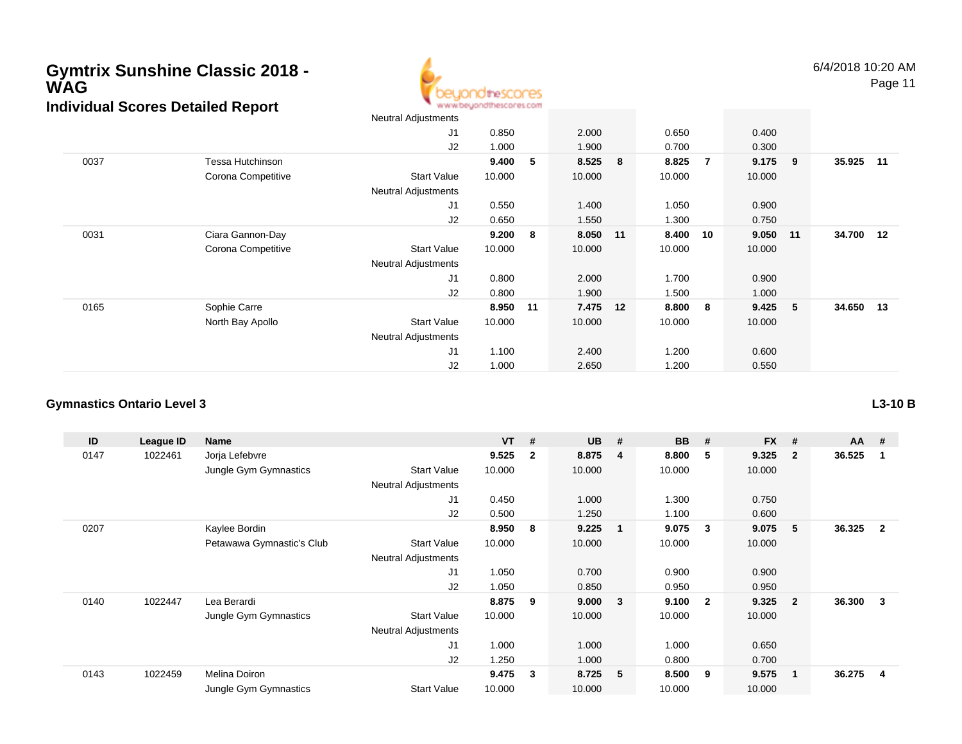

| $    -$ |                    | <b>Neutral Adjustments</b> |        |    |         |    |        |                |        |      |           |       |
|---------|--------------------|----------------------------|--------|----|---------|----|--------|----------------|--------|------|-----------|-------|
|         |                    | J1                         | 0.850  |    | 2.000   |    | 0.650  |                | 0.400  |      |           |       |
|         |                    | J2                         | 1.000  |    | 1.900   |    | 0.700  |                | 0.300  |      |           |       |
| 0037    | Tessa Hutchinson   |                            | 9.400  | 5  | 8.525 8 |    | 8.825  | $\overline{7}$ | 9.175  | 9    | 35.925    | $-11$ |
|         | Corona Competitive | <b>Start Value</b>         | 10.000 |    | 10.000  |    | 10.000 |                | 10.000 |      |           |       |
|         |                    | <b>Neutral Adjustments</b> |        |    |         |    |        |                |        |      |           |       |
|         |                    | J <sub>1</sub>             | 0.550  |    | 1.400   |    | 1.050  |                | 0.900  |      |           |       |
|         |                    | J2                         | 0.650  |    | 1.550   |    | 1.300  |                | 0.750  |      |           |       |
| 0031    | Ciara Gannon-Day   |                            | 9.200  | 8  | 8.050   | 11 | 8.400  | 10             | 9.050  | 11   | 34.700 12 |       |
|         | Corona Competitive | <b>Start Value</b>         | 10.000 |    | 10.000  |    | 10.000 |                | 10.000 |      |           |       |
|         |                    | <b>Neutral Adjustments</b> |        |    |         |    |        |                |        |      |           |       |
|         |                    | J <sub>1</sub>             | 0.800  |    | 2.000   |    | 1.700  |                | 0.900  |      |           |       |
|         |                    | J2                         | 0.800  |    | 1.900   |    | 1.500  |                | 1.000  |      |           |       |
| 0165    | Sophie Carre       |                            | 8.950  | 11 | 7.475   | 12 | 8.800  | 8              | 9.425  | $-5$ | 34.650 13 |       |
|         | North Bay Apollo   | <b>Start Value</b>         | 10.000 |    | 10.000  |    | 10.000 |                | 10.000 |      |           |       |
|         |                    | <b>Neutral Adjustments</b> |        |    |         |    |        |                |        |      |           |       |
|         |                    | J <sub>1</sub>             | 1.100  |    | 2.400   |    | 1.200  |                | 0.600  |      |           |       |
|         |                    | J2                         | 1.000  |    | 2.650   |    | 1.200  |                | 0.550  |      |           |       |

#### **Gymnastics Ontario Level 3**

| ID   | League ID | Name                      |                            | <b>VT</b> | #            | <b>UB</b> | #                       | <b>BB</b> | #            | <b>FX</b> | #              | $AA$ # |                |
|------|-----------|---------------------------|----------------------------|-----------|--------------|-----------|-------------------------|-----------|--------------|-----------|----------------|--------|----------------|
| 0147 | 1022461   | Jorja Lefebvre            |                            | 9.525     | $\mathbf{2}$ | 8.875     | -4                      | 8.800     | 5            | 9.325     | $\mathbf{2}$   | 36.525 |                |
|      |           | Jungle Gym Gymnastics     | <b>Start Value</b>         | 10.000    |              | 10.000    |                         | 10.000    |              | 10.000    |                |        |                |
|      |           |                           | <b>Neutral Adjustments</b> |           |              |           |                         |           |              |           |                |        |                |
|      |           |                           | J <sub>1</sub>             | 0.450     |              | 1.000     |                         | 1.300     |              | 0.750     |                |        |                |
|      |           |                           | J2                         | 0.500     |              | 1.250     |                         | 1.100     |              | 0.600     |                |        |                |
| 0207 |           | Kaylee Bordin             |                            | 8.950     | 8            | 9.225     | $\overline{\mathbf{1}}$ | 9.075     | -3           | 9.075     | 5              | 36.325 | $\overline{2}$ |
|      |           | Petawawa Gymnastic's Club | <b>Start Value</b>         | 10.000    |              | 10.000    |                         | 10.000    |              | 10.000    |                |        |                |
|      |           |                           | <b>Neutral Adjustments</b> |           |              |           |                         |           |              |           |                |        |                |
|      |           |                           | J1                         | 1.050     |              | 0.700     |                         | 0.900     |              | 0.900     |                |        |                |
|      |           |                           | J <sub>2</sub>             | 1.050     |              | 0.850     |                         | 0.950     |              | 0.950     |                |        |                |
| 0140 | 1022447   | Lea Berardi               |                            | 8.875     | 9            | 9.000     | $\overline{\mathbf{3}}$ | 9.100     | $\mathbf{2}$ | 9.325     | $\overline{2}$ | 36.300 | 3              |
|      |           | Jungle Gym Gymnastics     | <b>Start Value</b>         | 10.000    |              | 10.000    |                         | 10.000    |              | 10.000    |                |        |                |
|      |           |                           | <b>Neutral Adjustments</b> |           |              |           |                         |           |              |           |                |        |                |
|      |           |                           | J <sub>1</sub>             | 1.000     |              | 1.000     |                         | 1.000     |              | 0.650     |                |        |                |
|      |           |                           | J <sub>2</sub>             | 1.250     |              | 1.000     |                         | 0.800     |              | 0.700     |                |        |                |
| 0143 | 1022459   | Melina Doiron             |                            | 9.475     | 3            | 8.725     | 5                       | 8.500     | 9            | 9.575     | 1              | 36.275 | 4              |
|      |           | Jungle Gym Gymnastics     | <b>Start Value</b>         | 10.000    |              | 10.000    |                         | 10.000    |              | 10.000    |                |        |                |

**L3-10 B**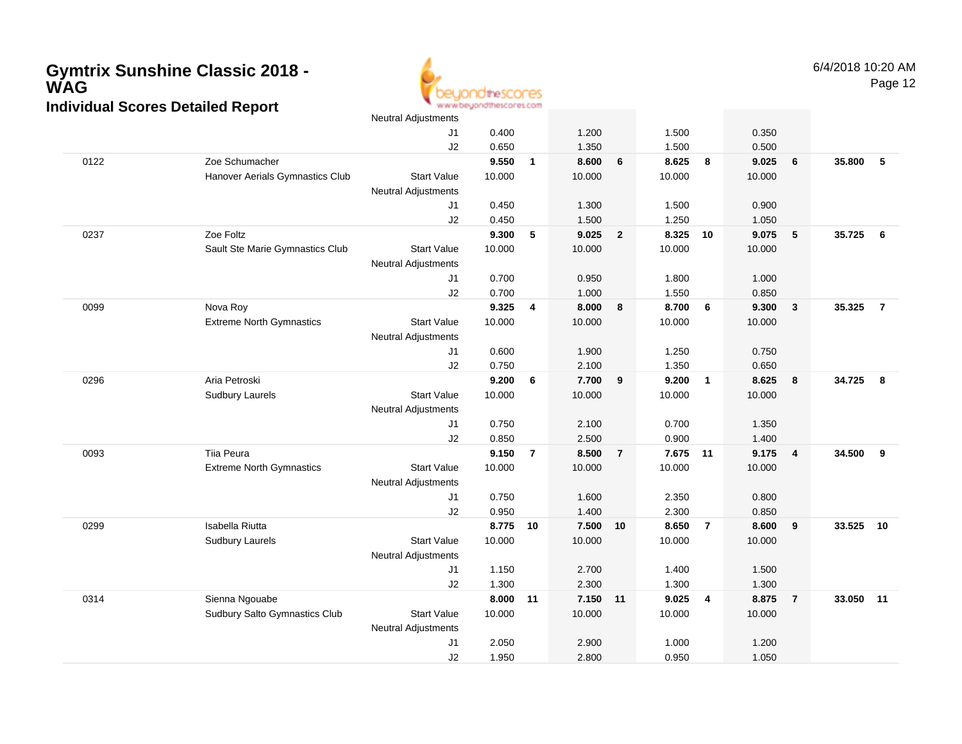

|      |                                 | <b>Neutral Adjustments</b> |        |                |          |                |        |                |        |                |        |                |
|------|---------------------------------|----------------------------|--------|----------------|----------|----------------|--------|----------------|--------|----------------|--------|----------------|
|      |                                 | J1                         | 0.400  |                | 1.200    |                | 1.500  |                | 0.350  |                |        |                |
|      |                                 | J2                         | 0.650  |                | 1.350    |                | 1.500  |                | 0.500  |                |        |                |
| 0122 | Zoe Schumacher                  |                            | 9.550  | $\mathbf{1}$   | 8.600    | 6              | 8.625  | 8              | 9.025  | 6              | 35.800 | 5              |
|      | Hanover Aerials Gymnastics Club | <b>Start Value</b>         | 10.000 |                | 10.000   |                | 10.000 |                | 10.000 |                |        |                |
|      |                                 | <b>Neutral Adjustments</b> |        |                |          |                |        |                |        |                |        |                |
|      |                                 | J1                         | 0.450  |                | 1.300    |                | 1.500  |                | 0.900  |                |        |                |
|      |                                 | J2                         | 0.450  |                | 1.500    |                | 1.250  |                | 1.050  |                |        |                |
| 0237 | Zoe Foltz                       |                            | 9.300  | 5              | 9.025    | $\overline{2}$ | 8.325  | 10             | 9.075  | 5              | 35.725 | - 6            |
|      | Sault Ste Marie Gymnastics Club | <b>Start Value</b>         | 10.000 |                | 10.000   |                | 10.000 |                | 10.000 |                |        |                |
|      |                                 | <b>Neutral Adjustments</b> |        |                |          |                |        |                |        |                |        |                |
|      |                                 | J1                         | 0.700  |                | 0.950    |                | 1.800  |                | 1.000  |                |        |                |
|      |                                 | J2                         | 0.700  |                | 1.000    |                | 1.550  |                | 0.850  |                |        |                |
| 0099 | Nova Roy                        |                            | 9.325  | 4              | 8.000    | 8              | 8.700  | 6              | 9.300  | $\mathbf{3}$   | 35.325 | $\overline{7}$ |
|      | <b>Extreme North Gymnastics</b> | <b>Start Value</b>         | 10.000 |                | 10.000   |                | 10.000 |                | 10.000 |                |        |                |
|      |                                 | <b>Neutral Adjustments</b> |        |                |          |                |        |                |        |                |        |                |
|      |                                 | J1                         | 0.600  |                | 1.900    |                | 1.250  |                | 0.750  |                |        |                |
|      |                                 | J2                         | 0.750  |                | 2.100    |                | 1.350  |                | 0.650  |                |        |                |
| 0296 | Aria Petroski                   |                            | 9.200  | 6              | 7.700    | 9              | 9.200  | $\overline{1}$ | 8.625  | 8              | 34.725 | 8              |
|      | <b>Sudbury Laurels</b>          | <b>Start Value</b>         | 10.000 |                | 10.000   |                | 10.000 |                | 10.000 |                |        |                |
|      |                                 | Neutral Adjustments        |        |                |          |                |        |                |        |                |        |                |
|      |                                 | J1                         | 0.750  |                | 2.100    |                | 0.700  |                | 1.350  |                |        |                |
|      |                                 | J2                         | 0.850  |                | 2.500    |                | 0.900  |                | 1.400  |                |        |                |
| 0093 | Tiia Peura                      |                            | 9.150  | $\overline{7}$ | 8.500    | $\overline{7}$ | 7.675  | 11             | 9.175  | $\overline{4}$ | 34.500 | 9              |
|      | <b>Extreme North Gymnastics</b> | <b>Start Value</b>         | 10.000 |                | 10.000   |                | 10.000 |                | 10.000 |                |        |                |
|      |                                 | Neutral Adjustments        |        |                |          |                |        |                |        |                |        |                |
|      |                                 | J1                         | 0.750  |                | 1.600    |                | 2.350  |                | 0.800  |                |        |                |
|      |                                 | J2                         | 0.950  |                | 1.400    |                | 2.300  |                | 0.850  |                |        |                |
| 0299 | Isabella Riutta                 |                            | 8.775  | 10             | 7.500    | 10             | 8.650  | $\overline{7}$ | 8.600  | 9              | 33.525 | 10             |
|      | <b>Sudbury Laurels</b>          | <b>Start Value</b>         | 10.000 |                | 10.000   |                | 10.000 |                | 10.000 |                |        |                |
|      |                                 | <b>Neutral Adjustments</b> |        |                |          |                |        |                |        |                |        |                |
|      |                                 | J1                         | 1.150  |                | 2.700    |                | 1.400  |                | 1.500  |                |        |                |
|      |                                 | J2                         | 1.300  |                | 2.300    |                | 1.300  |                | 1.300  |                |        |                |
| 0314 | Sienna Ngouabe                  |                            | 8.000  | 11             | 7.150 11 |                | 9.025  | $\overline{4}$ | 8.875  | $\overline{7}$ | 33.050 | 11             |
|      | Sudbury Salto Gymnastics Club   | <b>Start Value</b>         | 10.000 |                | 10.000   |                | 10.000 |                | 10.000 |                |        |                |
|      |                                 | <b>Neutral Adjustments</b> |        |                |          |                |        |                |        |                |        |                |
|      |                                 | J1                         | 2.050  |                | 2.900    |                | 1.000  |                | 1.200  |                |        |                |
|      |                                 | J2                         | 1.950  |                | 2.800    |                | 0.950  |                | 1.050  |                |        |                |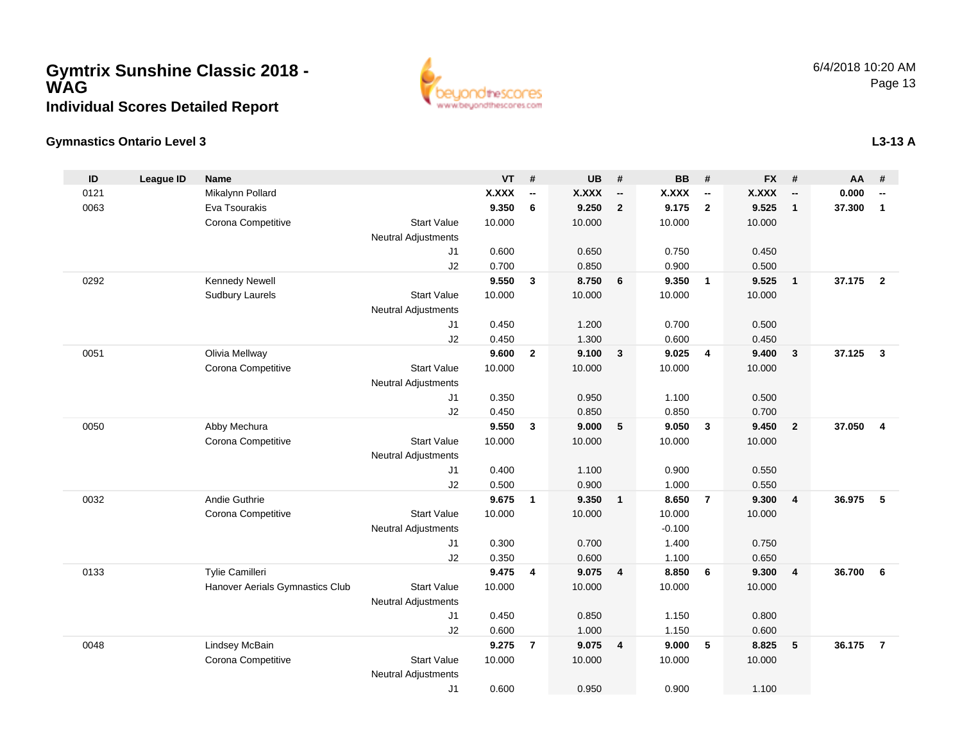

#### **Gymnastics Ontario Level 3L3-13 A**

| ID   | <b>League ID</b> | <b>Name</b>                     |                            | <b>VT</b>    | #                        | <b>UB</b>    | #                        | <b>BB</b> | #                        | <b>FX</b>    | #                        | AA     | #              |
|------|------------------|---------------------------------|----------------------------|--------------|--------------------------|--------------|--------------------------|-----------|--------------------------|--------------|--------------------------|--------|----------------|
| 0121 |                  | Mikalynn Pollard                |                            | <b>X.XXX</b> | $\overline{\phantom{a}}$ | <b>X.XXX</b> | $\overline{\phantom{a}}$ | X.XXX     | $\overline{\phantom{a}}$ | <b>X.XXX</b> | $\overline{\phantom{a}}$ | 0.000  | --             |
| 0063 |                  | Eva Tsourakis                   |                            | 9.350        | 6                        | 9.250        | $\overline{2}$           | 9.175     | $\overline{2}$           | 9.525        | $\mathbf{1}$             | 37.300 | $\mathbf{1}$   |
|      |                  | Corona Competitive              | <b>Start Value</b>         | 10.000       |                          | 10.000       |                          | 10.000    |                          | 10.000       |                          |        |                |
|      |                  |                                 | <b>Neutral Adjustments</b> |              |                          |              |                          |           |                          |              |                          |        |                |
|      |                  |                                 | J <sub>1</sub>             | 0.600        |                          | 0.650        |                          | 0.750     |                          | 0.450        |                          |        |                |
|      |                  |                                 | J2                         | 0.700        |                          | 0.850        |                          | 0.900     |                          | 0.500        |                          |        |                |
| 0292 |                  | Kennedy Newell                  |                            | 9.550        | 3                        | 8.750        | 6                        | 9.350     | $\overline{1}$           | 9.525        | $\mathbf{1}$             | 37.175 | $\overline{2}$ |
|      |                  | <b>Sudbury Laurels</b>          | <b>Start Value</b>         | 10.000       |                          | 10.000       |                          | 10.000    |                          | 10.000       |                          |        |                |
|      |                  |                                 | <b>Neutral Adjustments</b> |              |                          |              |                          |           |                          |              |                          |        |                |
|      |                  |                                 | J <sub>1</sub>             | 0.450        |                          | 1.200        |                          | 0.700     |                          | 0.500        |                          |        |                |
|      |                  |                                 | J2                         | 0.450        |                          | 1.300        |                          | 0.600     |                          | 0.450        |                          |        |                |
| 0051 |                  | Olivia Mellway                  |                            | 9.600        | $\overline{2}$           | 9.100        | $\overline{\mathbf{3}}$  | 9.025     | $\overline{4}$           | 9.400        | $\mathbf{3}$             | 37.125 | $\mathbf{3}$   |
|      |                  | Corona Competitive              | <b>Start Value</b>         | 10.000       |                          | 10.000       |                          | 10.000    |                          | 10.000       |                          |        |                |
|      |                  |                                 | <b>Neutral Adjustments</b> |              |                          |              |                          |           |                          |              |                          |        |                |
|      |                  |                                 | J1                         | 0.350        |                          | 0.950        |                          | 1.100     |                          | 0.500        |                          |        |                |
|      |                  |                                 | J2                         | 0.450        |                          | 0.850        |                          | 0.850     |                          | 0.700        |                          |        |                |
| 0050 |                  | Abby Mechura                    |                            | 9.550        | 3                        | 9.000        | $5\phantom{.0}$          | 9.050     | $\mathbf{3}$             | 9.450        | $\overline{2}$           | 37.050 | $\overline{4}$ |
|      |                  | Corona Competitive              | <b>Start Value</b>         | 10.000       |                          | 10.000       |                          | 10.000    |                          | 10.000       |                          |        |                |
|      |                  |                                 | <b>Neutral Adjustments</b> |              |                          |              |                          |           |                          |              |                          |        |                |
|      |                  |                                 | J <sub>1</sub>             | 0.400        |                          | 1.100        |                          | 0.900     |                          | 0.550        |                          |        |                |
|      |                  |                                 | J2                         | 0.500        |                          | 0.900        |                          | 1.000     |                          | 0.550        |                          |        |                |
| 0032 |                  | Andie Guthrie                   |                            | 9.675        | $\overline{1}$           | 9.350        | $\overline{\mathbf{1}}$  | 8.650     | $\overline{7}$           | 9.300        | $\overline{4}$           | 36.975 | 5              |
|      |                  | Corona Competitive              | <b>Start Value</b>         | 10.000       |                          | 10.000       |                          | 10.000    |                          | 10.000       |                          |        |                |
|      |                  |                                 | <b>Neutral Adjustments</b> |              |                          |              |                          | $-0.100$  |                          |              |                          |        |                |
|      |                  |                                 | J1                         | 0.300        |                          | 0.700        |                          | 1.400     |                          | 0.750        |                          |        |                |
|      |                  |                                 | J2                         | 0.350        |                          | 0.600        |                          | 1.100     |                          | 0.650        |                          |        |                |
| 0133 |                  | Tylie Camilleri                 |                            | 9.475        | 4                        | 9.075        | $\overline{4}$           | 8.850     | 6                        | 9.300        | 4                        | 36.700 | 6              |
|      |                  | Hanover Aerials Gymnastics Club | <b>Start Value</b>         | 10.000       |                          | 10.000       |                          | 10.000    |                          | 10.000       |                          |        |                |
|      |                  |                                 | <b>Neutral Adjustments</b> |              |                          |              |                          |           |                          |              |                          |        |                |
|      |                  |                                 | J1                         | 0.450        |                          | 0.850        |                          | 1.150     |                          | 0.800        |                          |        |                |
|      |                  |                                 | J2                         | 0.600        |                          | 1.000        |                          | 1.150     |                          | 0.600        |                          |        | $\overline{7}$ |
| 0048 |                  | Lindsey McBain                  | <b>Start Value</b>         | 9.275        | $\overline{7}$           | 9.075        | $\overline{4}$           | 9.000     | 5                        | 8.825        | 5                        | 36.175 |                |
|      |                  | Corona Competitive              |                            | 10.000       |                          | 10.000       |                          | 10.000    |                          | 10.000       |                          |        |                |
|      |                  |                                 | <b>Neutral Adjustments</b> |              |                          |              |                          |           |                          |              |                          |        |                |
|      |                  |                                 | J1                         | 0.600        |                          | 0.950        |                          | 0.900     |                          | 1.100        |                          |        |                |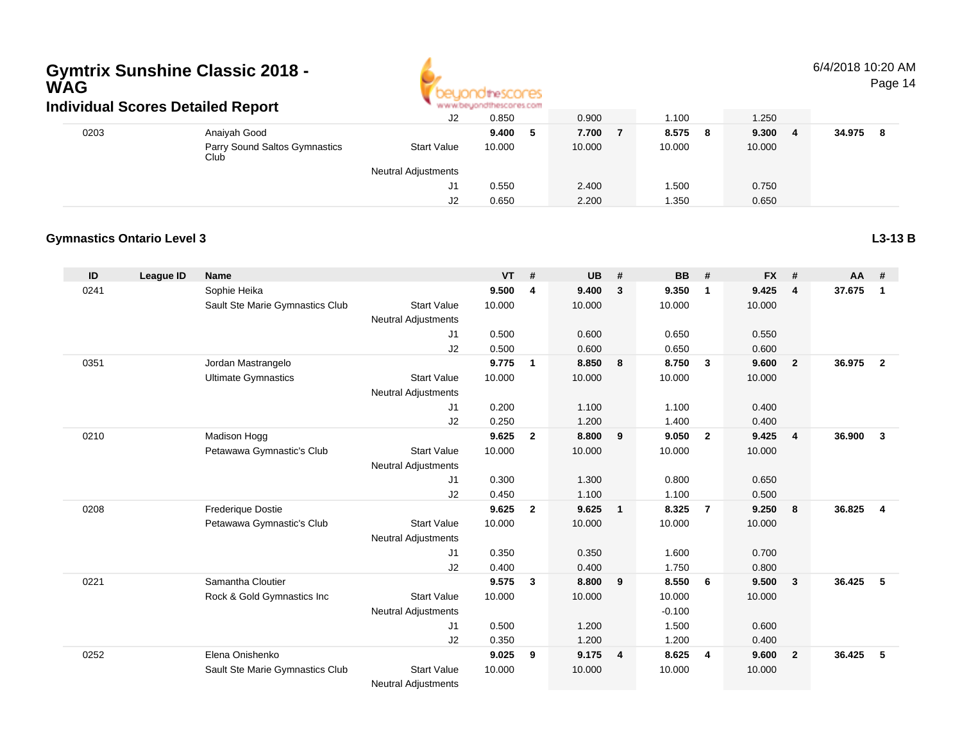

6/4/2018 10:20 AMPage 14

| ingividuai Scores Detailed Report |                                       |                            | <b>M.M.MCAMANI INTERNATI ILIYOTTI</b> |        |            |             |             |  |  |
|-----------------------------------|---------------------------------------|----------------------------|---------------------------------------|--------|------------|-------------|-------------|--|--|
|                                   |                                       | J2                         | 0.850                                 | 0.900  | 1.100      | 1.250       |             |  |  |
| 0203                              | Anaiyah Good                          |                            | 9.400                                 | 7.700  | 8.575<br>8 | 9.300<br>-4 | 34.975<br>8 |  |  |
|                                   | Parry Sound Saltos Gymnastics<br>Club | <b>Start Value</b>         | 10.000                                | 10.000 | 10.000     | 10.000      |             |  |  |
|                                   |                                       | <b>Neutral Adjustments</b> |                                       |        |            |             |             |  |  |
|                                   |                                       | J1                         | 0.550                                 | 2.400  | .500       | 0.750       |             |  |  |
|                                   |                                       | J2                         | 0.650                                 | 2.200  | 1.350      | 0.650       |             |  |  |

#### **Gymnastics Ontario Level 3**

**L3-13 B**

| ID   | League ID | Name                            |                            | <b>VT</b> | #              | <b>UB</b> | #                       | <b>BB</b> | #              | <b>FX</b> | #              | $AA$ # |                |
|------|-----------|---------------------------------|----------------------------|-----------|----------------|-----------|-------------------------|-----------|----------------|-----------|----------------|--------|----------------|
| 0241 |           | Sophie Heika                    |                            | 9.500     | 4              | 9.400     | $\mathbf{3}$            | 9.350     | $\mathbf{1}$   | 9.425     | 4              | 37.675 | -1             |
|      |           | Sault Ste Marie Gymnastics Club | <b>Start Value</b>         | 10.000    |                | 10.000    |                         | 10.000    |                | 10.000    |                |        |                |
|      |           |                                 | <b>Neutral Adjustments</b> |           |                |           |                         |           |                |           |                |        |                |
|      |           |                                 | J1                         | 0.500     |                | 0.600     |                         | 0.650     |                | 0.550     |                |        |                |
|      |           |                                 | J2                         | 0.500     |                | 0.600     |                         | 0.650     |                | 0.600     |                |        |                |
| 0351 |           | Jordan Mastrangelo              |                            | 9.775     | $\mathbf{1}$   | 8.850     | 8                       | 8.750     | $\mathbf{3}$   | 9.600     | $\overline{2}$ | 36.975 | $\overline{2}$ |
|      |           | <b>Ultimate Gymnastics</b>      | <b>Start Value</b>         | 10.000    |                | 10.000    |                         | 10.000    |                | 10.000    |                |        |                |
|      |           |                                 | <b>Neutral Adjustments</b> |           |                |           |                         |           |                |           |                |        |                |
|      |           |                                 | J1                         | 0.200     |                | 1.100     |                         | 1.100     |                | 0.400     |                |        |                |
|      |           |                                 | J2                         | 0.250     |                | 1.200     |                         | 1.400     |                | 0.400     |                |        |                |
| 0210 |           | Madison Hogg                    |                            | 9.625     | $\overline{2}$ | 8.800     | 9                       | 9.050     | $\overline{2}$ | 9.425     | 4              | 36.900 | 3              |
|      |           | Petawawa Gymnastic's Club       | <b>Start Value</b>         | 10.000    |                | 10.000    |                         | 10.000    |                | 10.000    |                |        |                |
|      |           |                                 | <b>Neutral Adjustments</b> |           |                |           |                         |           |                |           |                |        |                |
|      |           |                                 | J1                         | 0.300     |                | 1.300     |                         | 0.800     |                | 0.650     |                |        |                |
|      |           |                                 | J2                         | 0.450     |                | 1.100     |                         | 1.100     |                | 0.500     |                |        |                |
| 0208 |           | <b>Frederique Dostie</b>        |                            | 9.625     | $\mathbf{2}$   | 9.625     | $\overline{1}$          | 8.325     | $\overline{7}$ | 9.250     | 8              | 36.825 | 4              |
|      |           | Petawawa Gymnastic's Club       | <b>Start Value</b>         | 10.000    |                | 10.000    |                         | 10.000    |                | 10.000    |                |        |                |
|      |           |                                 | Neutral Adjustments        |           |                |           |                         |           |                |           |                |        |                |
|      |           |                                 | J1                         | 0.350     |                | 0.350     |                         | 1.600     |                | 0.700     |                |        |                |
|      |           |                                 | J2                         | 0.400     |                | 0.400     |                         | 1.750     |                | 0.800     |                |        |                |
| 0221 |           | Samantha Cloutier               |                            | 9.575     | 3              | 8.800     | 9                       | 8.550     | - 6            | 9.500     | $\mathbf{3}$   | 36.425 | 5              |
|      |           | Rock & Gold Gymnastics Inc      | <b>Start Value</b>         | 10.000    |                | 10.000    |                         | 10.000    |                | 10.000    |                |        |                |
|      |           |                                 | <b>Neutral Adjustments</b> |           |                |           |                         | $-0.100$  |                |           |                |        |                |
|      |           |                                 | J1                         | 0.500     |                | 1.200     |                         | 1.500     |                | 0.600     |                |        |                |
|      |           |                                 | J2                         | 0.350     |                | 1.200     |                         | 1.200     |                | 0.400     |                |        |                |
| 0252 |           | Elena Onishenko                 |                            | 9.025     | 9              | 9.175     | $\overline{\mathbf{4}}$ | 8.625     | 4              | 9.600     | $\overline{2}$ | 36.425 | 5              |
|      |           | Sault Ste Marie Gymnastics Club | <b>Start Value</b>         | 10.000    |                | 10.000    |                         | 10.000    |                | 10.000    |                |        |                |
|      |           |                                 | <b>Neutral Adjustments</b> |           |                |           |                         |           |                |           |                |        |                |